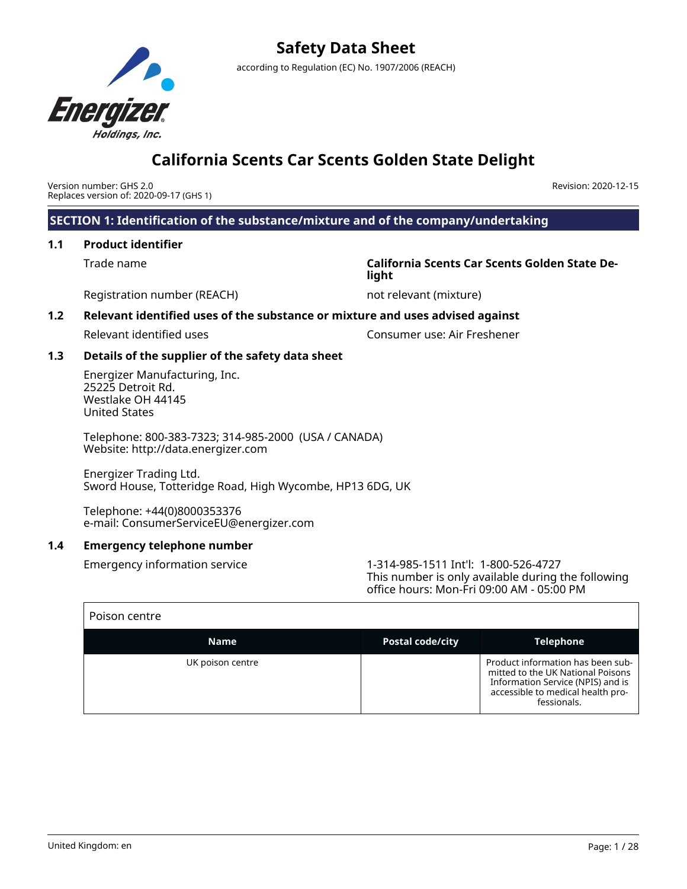

Version number: GHS 2.0 Replaces version of: 2020-09-17 (GHS 1) Revision: 2020-12-15

**SECTION 1: Identification of the substance/mixture and of the company/undertaking**

## **1.1 Product identifier**

| Trade name |  |
|------------|--|
|------------|--|

Registration number (REACH) not relevant (mixture)

California Scents Car Scents Golden State De**light**

## **1.2 Relevant identified uses of the substance or mixture and uses advised against**

Relevant identified uses Consumer use: Air Freshener

## **1.3 Details of the supplier of the safety data sheet**

Energizer Manufacturing, Inc. 25225 Detroit Rd. Westlake OH 44145 United States

Telephone: 800-383-7323; 314-985-2000 (USA / CANADA) Website: http://data.energizer.com

Energizer Trading Ltd. Sword House, Totteridge Road, High Wycombe, HP13 6DG, UK

Telephone: +44(0)8000353376 e-mail: ConsumerServiceEU@energizer.com

## **1.4 Emergency telephone number**

Emergency information service 1-314-985-1511 Int'l: 1-800-526-4727 This number is only available during the following office hours: Mon-Fri 09:00 AM - 05:00 PM

## Poison centre

| Name             | <b>Postal code/city</b> | <b>Telephone</b>                                                                                                                                                |
|------------------|-------------------------|-----------------------------------------------------------------------------------------------------------------------------------------------------------------|
| UK poison centre |                         | Product information has been sub-<br>mitted to the UK National Poisons<br>Information Service (NPIS) and is<br>accessible to medical health pro-<br>fessionals. |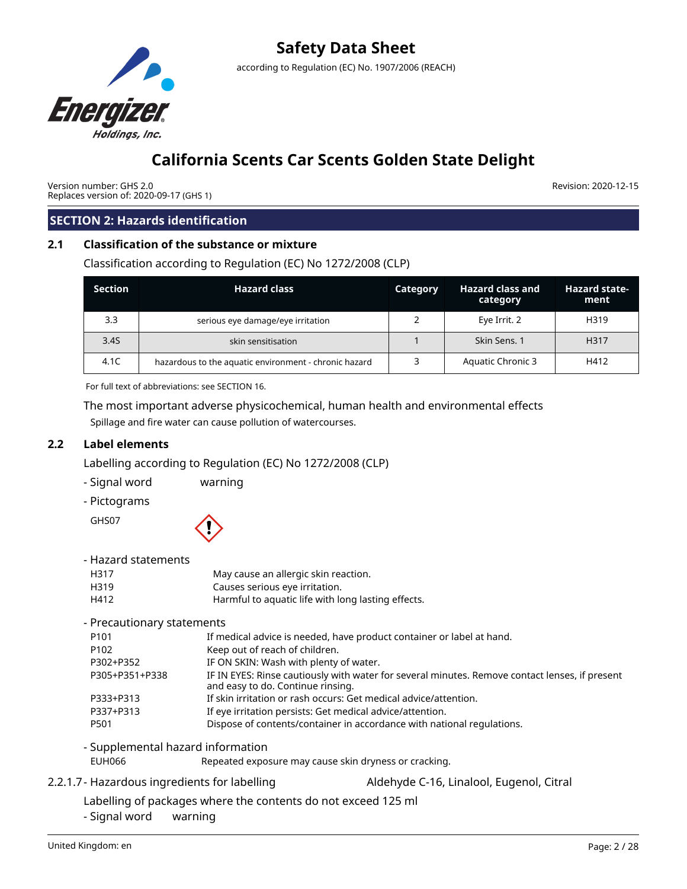

Version number: GHS 2.0 Replaces version of: 2020-09-17 (GHS 1) Revision: 2020-12-15

## **SECTION 2: Hazards identification**

## **2.1 Classification of the substance or mixture**

Classification according to Regulation (EC) No 1272/2008 (CLP)

| <b>Section</b> | <b>Hazard class</b>                                   | Category | <b>Hazard class and</b><br>category | <b>Hazard state-</b><br>ment |
|----------------|-------------------------------------------------------|----------|-------------------------------------|------------------------------|
| 3.3            | serious eye damage/eye irritation                     |          | Eye Irrit. 2                        | H319                         |
| 3.4S           | skin sensitisation                                    |          | Skin Sens. 1                        | H317                         |
| 4.1C           | hazardous to the aquatic environment - chronic hazard |          | Aquatic Chronic 3                   | H412                         |

For full text of abbreviations: see SECTION 16.

The most important adverse physicochemical, human health and environmental effects Spillage and fire water can cause pollution of watercourses.

## **2.2 Label elements**

Labelling according to Regulation (EC) No 1272/2008 (CLP)

- Signal word warning
- Pictograms

GHS07



- Hazard statements

| H317 | May cause an allergic skin reaction.               |
|------|----------------------------------------------------|
| H319 | Causes serious eye irritation.                     |
| H412 | Harmful to aquatic life with long lasting effects. |

- Precautionary statements

| P101           | If medical advice is needed, have product container or label at hand.                                                               |
|----------------|-------------------------------------------------------------------------------------------------------------------------------------|
| P102           | Keep out of reach of children.                                                                                                      |
| P302+P352      | IF ON SKIN: Wash with plenty of water.                                                                                              |
| P305+P351+P338 | IF IN EYES: Rinse cautiously with water for several minutes. Remove contact lenses, if present<br>and easy to do. Continue rinsing. |
| P333+P313      | If skin irritation or rash occurs: Get medical advice/attention.                                                                    |
| P337+P313      | If eye irritation persists: Get medical advice/attention.                                                                           |
| P501           | Dispose of contents/container in accordance with national regulations.                                                              |
|                |                                                                                                                                     |

- Supplemental hazard information EUH066 Repeated exposure may cause skin dryness or cracking.
- 2.2.1.7 Hazardous ingredients for labelling and Aldehyde C-16, Linalool, Eugenol, Citral

- Labelling of packages where the contents do not exceed 125 ml
- Signal word warning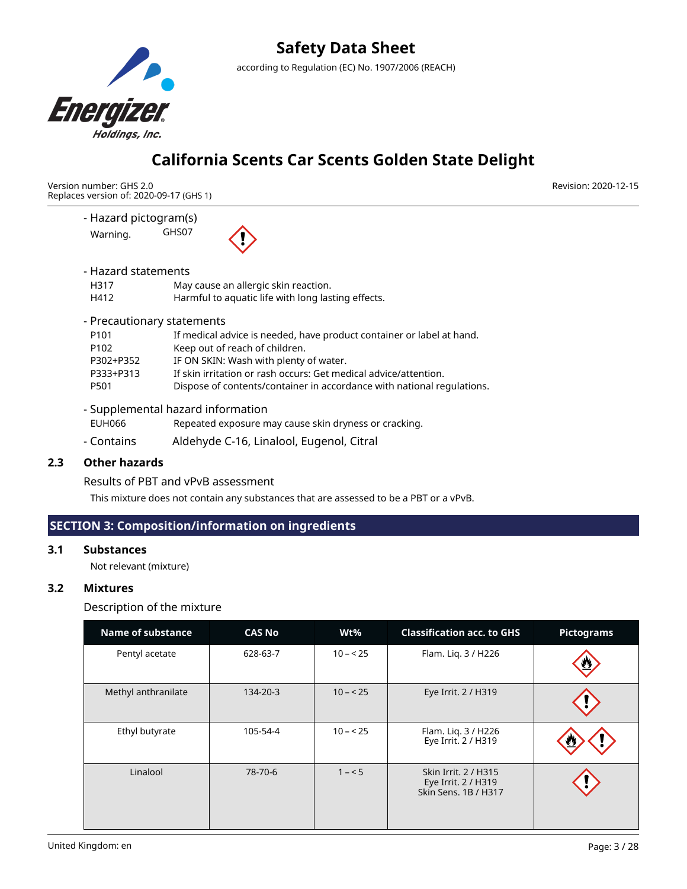

Version number: GHS 2.0 Replaces version of: 2020-09-17 (GHS 1)

> - Hazard pictogram(s) Warning. GHS07



- Hazard statements

| H317 | May cause an allergic skin reaction.               |
|------|----------------------------------------------------|
| H412 | Harmful to aquatic life with long lasting effects. |

- Precautionary statements

| P101      | If medical advice is needed, have product container or label at hand.  |
|-----------|------------------------------------------------------------------------|
| P102      | Keep out of reach of children.                                         |
| P302+P352 | IF ON SKIN: Wash with plenty of water.                                 |
| P333+P313 | If skin irritation or rash occurs: Get medical advice/attention.       |
| P501      | Dispose of contents/container in accordance with national regulations. |
|           |                                                                        |

## - Supplemental hazard information

EUH066 Repeated exposure may cause skin dryness or cracking.

- Contains Aldehyde C-16, Linalool, Eugenol, Citral

## **2.3 Other hazards**

Results of PBT and vPvB assessment

This mixture does not contain any substances that are assessed to be a PBT or a vPvB.

# **SECTION 3: Composition/information on ingredients**

## **3.1 Substances**

Not relevant (mixture)

## **3.2 Mixtures**

Description of the mixture

| <b>Name of substance</b> | <b>CAS No</b> | $Wt\%$    | <b>Classification acc. to GHS</b>                                   | <b>Pictograms</b> |
|--------------------------|---------------|-----------|---------------------------------------------------------------------|-------------------|
| Pentyl acetate           | 628-63-7      | $10 - 25$ | Flam. Liq. 3 / H226                                                 | V,                |
| Methyl anthranilate      | 134-20-3      | $10 - 25$ | Eye Irrit. 2 / H319                                                 |                   |
| Ethyl butyrate           | 105-54-4      | $10 - 25$ | Flam. Liq. 3 / H226<br>Eye Irrit. 2 / H319                          |                   |
| Linalool<br>78-70-6      |               | $1 - 5$   | Skin Irrit. 2 / H315<br>Eye Irrit. 2 / H319<br>Skin Sens, 1B / H317 |                   |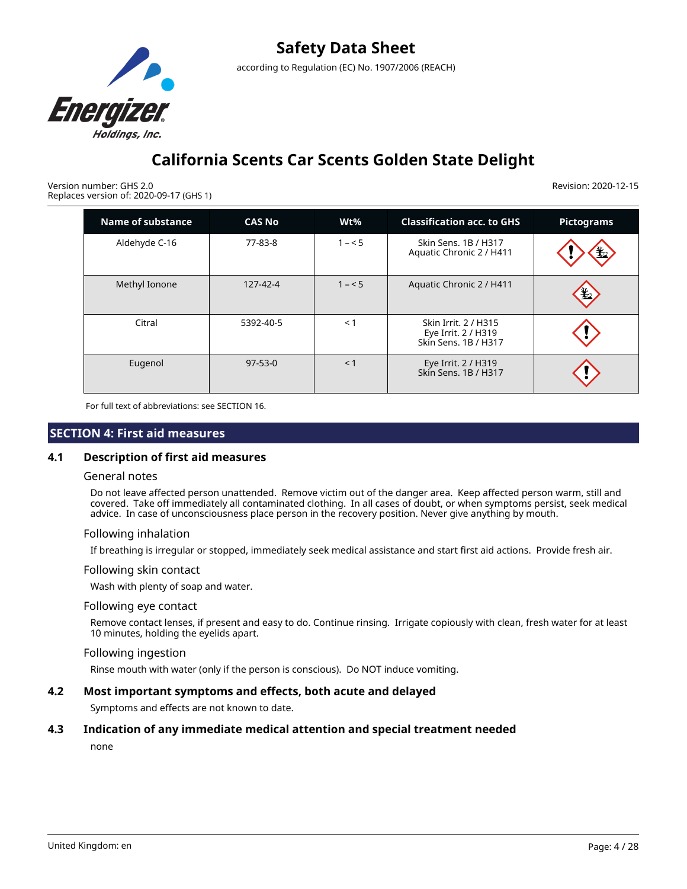

Version number: GHS 2.0 Replaces version of: 2020-09-17 (GHS 1) Revision: 2020-12-15

| <b>Name of substance</b> | <b>CAS No</b> | $Wt\%$  | <b>Classification acc. to GHS</b>                                   | <b>Pictograms</b> |
|--------------------------|---------------|---------|---------------------------------------------------------------------|-------------------|
| Aldehyde C-16            | 77-83-8       | $1 - 5$ | Skin Sens, 1B / H317<br>Aquatic Chronic 2 / H411                    | €                 |
| Methyl Ionone            | 127-42-4      | $1 - 5$ | Aquatic Chronic 2 / H411                                            | Ł                 |
| Citral                   | 5392-40-5     |         | Skin Irrit. 2 / H315<br>Eye Irrit. 2 / H319<br>Skin Sens. 1B / H317 |                   |
| Eugenol                  | $97 - 53 - 0$ |         | Eye Irrit. 2 / H319<br>Skin Sens. 1B / H317                         |                   |

For full text of abbreviations: see SECTION 16.

## **SECTION 4: First aid measures**

## **4.1 Description of first aid measures**

#### General notes

Do not leave affected person unattended. Remove victim out of the danger area. Keep affected person warm, still and covered. Take off immediately all contaminated clothing. In all cases of doubt, or when symptoms persist, seek medical advice. In case of unconsciousness place person in the recovery position. Never give anything by mouth.

## Following inhalation

If breathing is irregular or stopped, immediately seek medical assistance and start first aid actions. Provide fresh air.

#### Following skin contact

Wash with plenty of soap and water.

#### Following eye contact

Remove contact lenses, if present and easy to do. Continue rinsing. Irrigate copiously with clean, fresh water for at least 10 minutes, holding the eyelids apart.

#### Following ingestion

Rinse mouth with water (only if the person is conscious). Do NOT induce vomiting.

## **4.2 Most important symptoms and effects, both acute and delayed**

Symptoms and effects are not known to date.

## **4.3 Indication of any immediate medical attention and special treatment needed**

none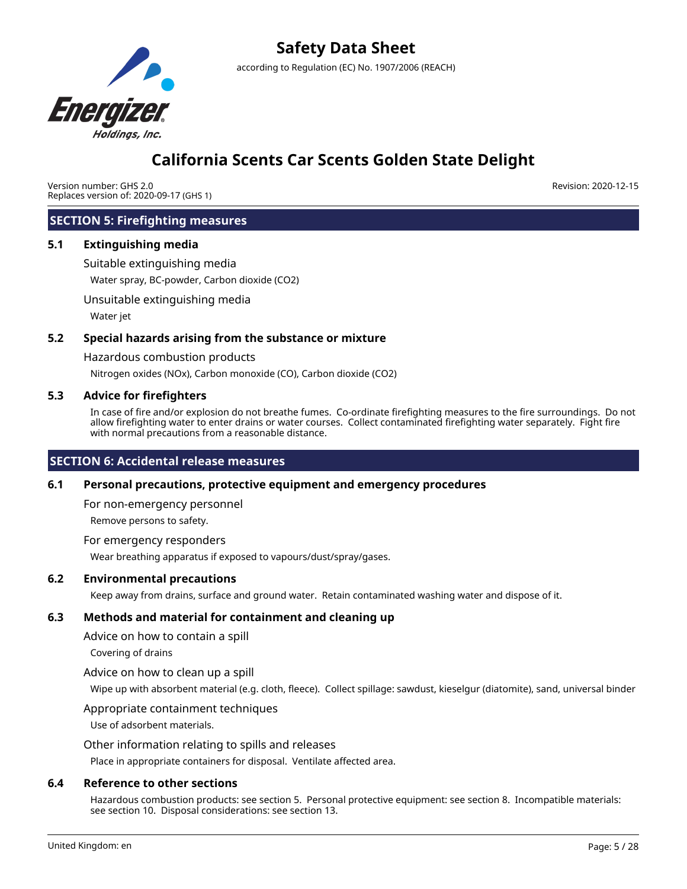

Version number: GHS 2.0 Replaces version of: 2020-09-17 (GHS 1)

**SECTION 5: Firefighting measures**

## **5.1 Extinguishing media**

Suitable extinguishing media

Water spray, BC-powder, Carbon dioxide (CO2)

Unsuitable extinguishing media

Water jet

## **5.2 Special hazards arising from the substance or mixture**

Hazardous combustion products

Nitrogen oxides (NOx), Carbon monoxide (CO), Carbon dioxide (CO2)

## **5.3 Advice for firefighters**

In case of fire and/or explosion do not breathe fumes. Co-ordinate firefighting measures to the fire surroundings. Do not allow firefighting water to enter drains or water courses. Collect contaminated firefighting water separately. Fight fire with normal precautions from a reasonable distance.

## **SECTION 6: Accidental release measures**

## **6.1 Personal precautions, protective equipment and emergency procedures**

For non-emergency personnel

Remove persons to safety.

For emergency responders

Wear breathing apparatus if exposed to vapours/dust/spray/gases.

## **6.2 Environmental precautions**

Keep away from drains, surface and ground water. Retain contaminated washing water and dispose of it.

## **6.3 Methods and material for containment and cleaning up**

Advice on how to contain a spill

Covering of drains

## Advice on how to clean up a spill

Wipe up with absorbent material (e.g. cloth, fleece). Collect spillage: sawdust, kieselgur (diatomite), sand, universal binder

## Appropriate containment techniques

Use of adsorbent materials.

## Other information relating to spills and releases

Place in appropriate containers for disposal. Ventilate affected area.

## **6.4 Reference to other sections**

Hazardous combustion products: see section 5. Personal protective equipment: see section 8. Incompatible materials: see section 10. Disposal considerations: see section 13.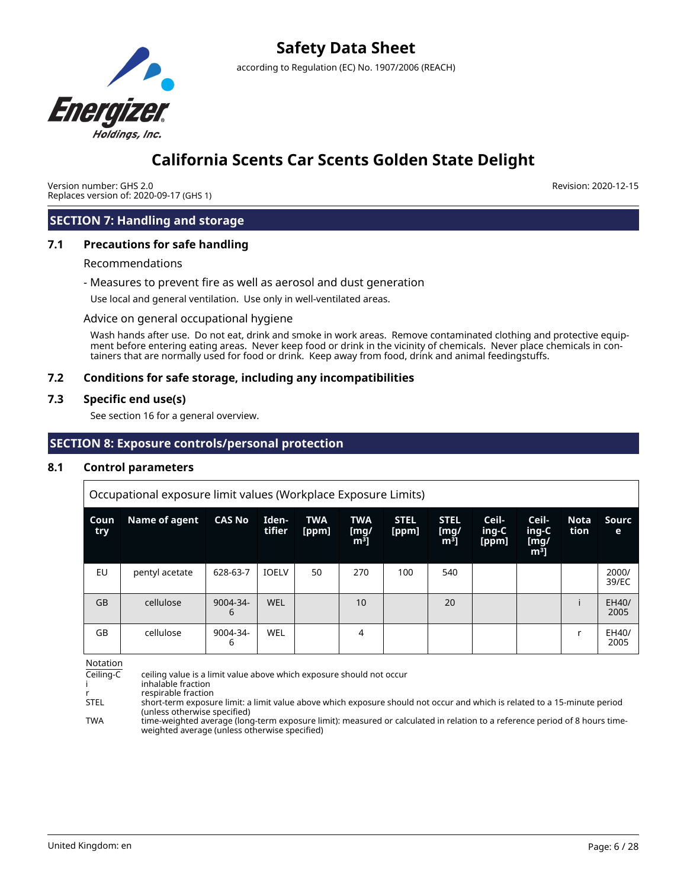

Version number: GHS 2.0 Replaces version of: 2020-09-17 (GHS 1) Revision: 2020-12-15

## **SECTION 7: Handling and storage**

## **7.1 Precautions for safe handling**

### Recommendations

- Measures to prevent fire as well as aerosol and dust generation

Use local and general ventilation. Use only in well-ventilated areas.

### Advice on general occupational hygiene

Wash hands after use. Do not eat, drink and smoke in work areas. Remove contaminated clothing and protective equipment before entering eating areas. Never keep food or drink in the vicinity of chemicals. Never place chemicals in containers that are normally used for food or drink. Keep away from food, drink and animal feedingstuffs.

## **7.2 Conditions for safe storage, including any incompatibilities**

## **7.3 Specific end use(s)**

See section 16 for a general overview.

## **SECTION 8: Exposure controls/personal protection**

## **8.1 Control parameters**

Occupational exposure limit values (Workplace Exposure Limits)

| Coun<br>try | Name of agent  | <b>CAS No</b> | Iden-<br>tifier | <b>TWA</b><br>[ppm] | <b>TWA</b><br>[mg/<br>m <sup>3</sup> | <b>STEL</b><br>[ppm] | <b>STEL</b><br>[mg]<br>m <sup>3</sup> | Ceil-<br>ing-C<br>[ppm] | Ceil-<br>ing-C<br>[mg/<br>m <sup>3</sup> | <b>Nota</b><br>tion | Sourc<br>e     |
|-------------|----------------|---------------|-----------------|---------------------|--------------------------------------|----------------------|---------------------------------------|-------------------------|------------------------------------------|---------------------|----------------|
| EU          | pentyl acetate | 628-63-7      | <b>IOELV</b>    | 50                  | 270                                  | 100                  | 540                                   |                         |                                          |                     | 2000/<br>39/EC |
| <b>GB</b>   | cellulose      | 9004-34-<br>6 | <b>WEL</b>      |                     | 10                                   |                      | 20                                    |                         |                                          |                     | EH40/<br>2005  |
| GB          | cellulose      | 9004-34-<br>b | WEL             |                     | 4                                    |                      |                                       |                         |                                          | r                   | EH40/<br>2005  |

Notation

 $\overline{Ceiling-C}$  ceiling value is a limit value above which exposure should not occur

inhalable fraction

r respirable fraction<br>STEL short-term exposu

short-term exposure limit: a limit value above which exposure should not occur and which is related to a 15-minute period (unless otherwise specified)

TWA time-weighted average (long-term exposure limit): measured or calculated in relation to a reference period of 8 hours timeweighted average (unless otherwise specified)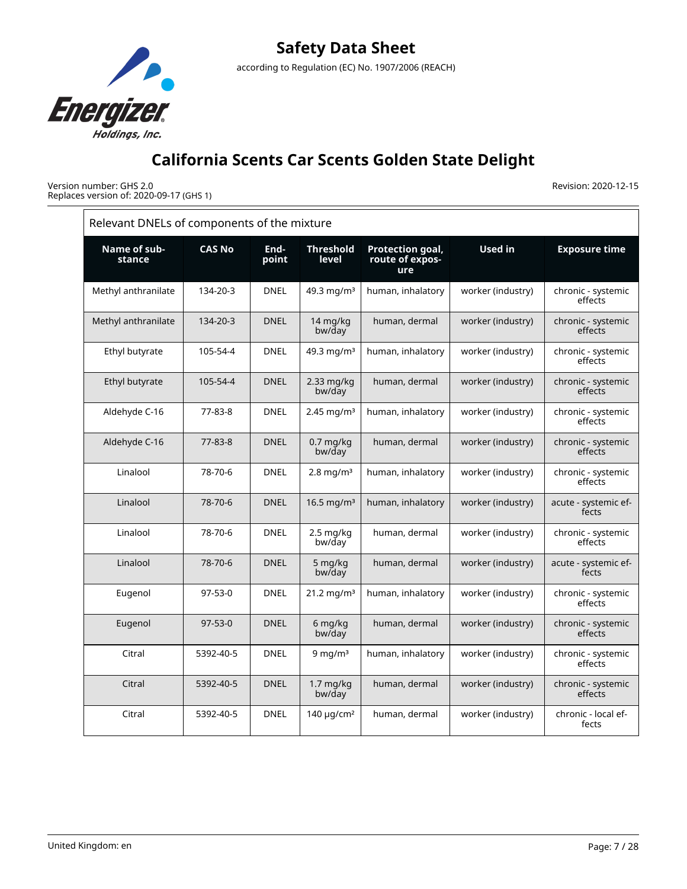

Version number: GHS 2.0 Replaces version of: 2020-09-17 (GHS 1)

| Relevant DNELs of components of the mixture |               |               |                             |                                            |                   |                               |  |  |  |
|---------------------------------------------|---------------|---------------|-----------------------------|--------------------------------------------|-------------------|-------------------------------|--|--|--|
| Name of sub-<br>stance                      | <b>CAS No</b> | End-<br>point | <b>Threshold</b><br>level   | Protection goal,<br>route of expos-<br>ure | <b>Used in</b>    | <b>Exposure time</b>          |  |  |  |
| Methyl anthranilate                         | 134-20-3      | <b>DNEL</b>   | 49.3 mg/m <sup>3</sup>      | human, inhalatory                          | worker (industry) | chronic - systemic<br>effects |  |  |  |
| Methyl anthranilate                         | 134-20-3      | <b>DNEL</b>   | 14 mg/kg<br>bw/day          | human, dermal                              | worker (industry) | chronic - systemic<br>effects |  |  |  |
| Ethyl butyrate                              | 105-54-4      | <b>DNEL</b>   | 49.3 mg/m <sup>3</sup>      | human, inhalatory                          | worker (industry) | chronic - systemic<br>effects |  |  |  |
| Ethyl butyrate                              | 105-54-4      | <b>DNEL</b>   | $2.33$ mg/kg<br>bw/day      | human, dermal                              | worker (industry) | chronic - systemic<br>effects |  |  |  |
| Aldehyde C-16                               | 77-83-8       | <b>DNEL</b>   | 2.45 mg/m <sup>3</sup>      | human, inhalatory                          | worker (industry) | chronic - systemic<br>effects |  |  |  |
| Aldehyde C-16                               | $77 - 83 - 8$ | <b>DNEL</b>   | $0.7$ mg/kg<br>bw/day       | human, dermal                              | worker (industry) | chronic - systemic<br>effects |  |  |  |
| Linalool                                    | 78-70-6       | <b>DNEL</b>   | $2.8$ mg/m <sup>3</sup>     | human, inhalatory                          | worker (industry) | chronic - systemic<br>effects |  |  |  |
| Linalool                                    | 78-70-6       | <b>DNEL</b>   | 16.5 mg/m <sup>3</sup>      | human, inhalatory                          | worker (industry) | acute - systemic ef-<br>fects |  |  |  |
| Linalool                                    | 78-70-6       | <b>DNEL</b>   | $2.5$ mg/kg<br>bw/day       | human, dermal                              | worker (industry) | chronic - systemic<br>effects |  |  |  |
| Linalool                                    | 78-70-6       | <b>DNEL</b>   | 5 mg/kg<br>bw/day           | human, dermal                              | worker (industry) | acute - systemic ef-<br>fects |  |  |  |
| Eugenol                                     | 97-53-0       | <b>DNEL</b>   | $21.2 \text{ mg/m}^3$       | human, inhalatory                          | worker (industry) | chronic - systemic<br>effects |  |  |  |
| Eugenol                                     | $97 - 53 - 0$ | <b>DNEL</b>   | 6 mg/kg<br>bw/day           | human, dermal                              | worker (industry) | chronic - systemic<br>effects |  |  |  |
| Citral                                      | 5392-40-5     | <b>DNEL</b>   | $9 \text{ mg/m}^3$          | human, inhalatory                          | worker (industry) | chronic - systemic<br>effects |  |  |  |
| Citral                                      | 5392-40-5     | <b>DNEL</b>   | $1.7$ mg/kg<br>bw/day       | human, dermal                              | worker (industry) | chronic - systemic<br>effects |  |  |  |
| Citral                                      | 5392-40-5     | <b>DNEL</b>   | 140 $\mu$ g/cm <sup>2</sup> | human, dermal                              | worker (industry) | chronic - local ef-<br>fects  |  |  |  |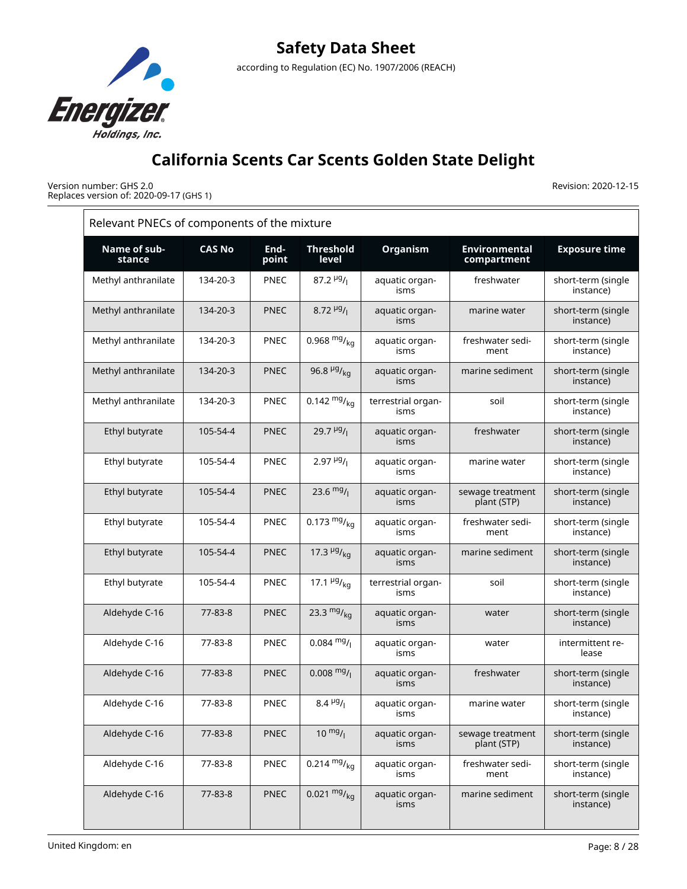

Version number: GHS 2.0 Replaces version of: 2020-09-17 (GHS 1)

| Relevant PNECs of components of the mixture |               |               |                                |                            |                                     |                                 |  |  |  |
|---------------------------------------------|---------------|---------------|--------------------------------|----------------------------|-------------------------------------|---------------------------------|--|--|--|
| Name of sub-<br>stance                      | <b>CAS No</b> | End-<br>point | <b>Threshold</b><br>level      | Organism                   | <b>Environmental</b><br>compartment | <b>Exposure time</b>            |  |  |  |
| Methyl anthranilate                         | 134-20-3      | PNEC          | 87.2 $\frac{\mu g}{I}$         | aquatic organ-<br>isms     | freshwater                          | short-term (single<br>instance) |  |  |  |
| Methyl anthranilate                         | 134-20-3      | <b>PNEC</b>   | $8.72 \frac{\mu g}{I}$         | aquatic organ-<br>isms     | marine water                        | short-term (single<br>instance) |  |  |  |
| Methyl anthranilate                         | 134-20-3      | PNEC          | 0.968 $mg/kq$                  | aquatic organ-<br>isms     | freshwater sedi-<br>ment            | short-term (single<br>instance) |  |  |  |
| Methyl anthranilate                         | 134-20-3      | <b>PNEC</b>   | 96.8 $\frac{\mu g}{\text{kg}}$ | aquatic organ-<br>isms     | marine sediment                     | short-term (single<br>instance) |  |  |  |
| Methyl anthranilate                         | 134-20-3      | <b>PNEC</b>   | 0.142 $mg/kq$                  | terrestrial organ-<br>isms | soil                                | short-term (single<br>instance) |  |  |  |
| Ethyl butyrate                              | 105-54-4      | <b>PNEC</b>   | $29.7 \frac{\mu g}{I}$         | aquatic organ-<br>isms     | freshwater                          | short-term (single<br>instance) |  |  |  |
| Ethyl butyrate                              | 105-54-4      | PNEC          | $2.97\frac{\mu g}{I}$          | aquatic organ-<br>isms     | marine water                        | short-term (single<br>instance) |  |  |  |
| Ethyl butyrate                              | 105-54-4      | <b>PNEC</b>   | 23.6 $mg/$                     | aquatic organ-<br>isms     | sewage treatment<br>plant (STP)     | short-term (single<br>instance) |  |  |  |
| Ethyl butyrate                              | 105-54-4      | <b>PNEC</b>   | 0.173 $mg/_{kq}$               | aquatic organ-<br>isms     | freshwater sedi-<br>ment            | short-term (single<br>instance) |  |  |  |
| Ethyl butyrate                              | 105-54-4      | <b>PNEC</b>   | 17.3 $\frac{\mu g}{\kappa q}$  | aquatic organ-<br>isms     | marine sediment                     | short-term (single<br>instance) |  |  |  |
| Ethyl butyrate                              | 105-54-4      | PNEC          | 17.1 $\frac{\mu g}{\kappa q}$  | terrestrial organ-<br>isms | soil                                | short-term (single<br>instance) |  |  |  |
| Aldehyde C-16                               | 77-83-8       | <b>PNEC</b>   | 23.3 $mg/kq$                   | aquatic organ-<br>isms     | water                               | short-term (single<br>instance) |  |  |  |
| Aldehyde C-16                               | 77-83-8       | <b>PNEC</b>   | $0.084 \frac{mg}{l}$           | aquatic organ-<br>isms     | water                               | intermittent re-<br>lease       |  |  |  |
| Aldehyde C-16                               | $77 - 83 - 8$ | <b>PNEC</b>   | $0.008 \frac{mg}{l}$           | aquatic organ-<br>isms     | freshwater                          | short-term (single<br>instance) |  |  |  |
| Aldehyde C-16                               | 77-83-8       | PNEC          | $8.4 \frac{\mu g}{I}$          | aquatic organ-<br>isms     | marine water                        | short-term (single<br>instance) |  |  |  |
| Aldehyde C-16                               | 77-83-8       | <b>PNEC</b>   | $10 \frac{mg}{l}$              | aquatic organ-<br>isms     | sewage treatment<br>plant (STP)     | short-term (single<br>instance) |  |  |  |
| Aldehyde C-16                               | 77-83-8       | <b>PNEC</b>   | 0.214 $mg/kq$                  | aquatic organ-<br>isms     | freshwater sedi-<br>ment            | short-term (single<br>instance) |  |  |  |
| Aldehyde C-16                               | 77-83-8       | <b>PNEC</b>   | 0.021 $mg/kq$                  | aquatic organ-<br>isms     | marine sediment                     | short-term (single<br>instance) |  |  |  |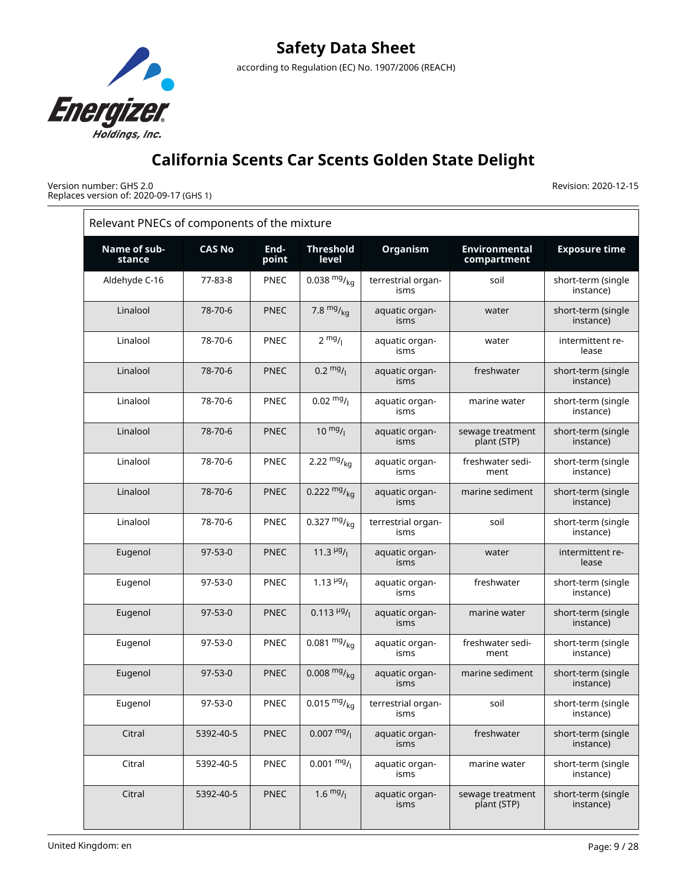

Version number: GHS 2.0 Replaces version of: 2020-09-17 (GHS 1)

| Relevant PNECs of components of the mixture |               |               |                           |                            |                                     |                                 |
|---------------------------------------------|---------------|---------------|---------------------------|----------------------------|-------------------------------------|---------------------------------|
| Name of sub-<br>stance                      | <b>CAS No</b> | End-<br>point | <b>Threshold</b><br>level | <b>Organism</b>            | <b>Environmental</b><br>compartment | <b>Exposure time</b>            |
| Aldehyde C-16                               | 77-83-8       | PNEC          | 0.038 $mg/kq$             | terrestrial organ-<br>isms | soil                                | short-term (single<br>instance) |
| Linalool                                    | 78-70-6       | <b>PNEC</b>   | 7.8 $mg/kq$               | aquatic organ-<br>isms     | water                               | short-term (single<br>instance) |
| Linalool                                    | 78-70-6       | <b>PNEC</b>   | $2 \frac{mg}{l}$          | aquatic organ-<br>isms     | water                               | intermittent re-<br>lease       |
| Linalool                                    | 78-70-6       | <b>PNEC</b>   | $0.2 \frac{mg}{l}$        | aquatic organ-<br>isms     | freshwater                          | short-term (single<br>instance) |
| Linalool                                    | 78-70-6       | <b>PNEC</b>   | $0.02 \frac{mg}{l}$       | aquatic organ-<br>isms     | marine water                        | short-term (single<br>instance) |
| Linalool                                    | 78-70-6       | <b>PNEC</b>   | $10^{mg}$ /               | aquatic organ-<br>isms     | sewage treatment<br>plant (STP)     | short-term (single<br>instance) |
| Linalool                                    | 78-70-6       | <b>PNEC</b>   | 2.22 $mg/kq$              | aquatic organ-<br>isms     | freshwater sedi-<br>ment            | short-term (single<br>instance) |
| Linalool                                    | 78-70-6       | <b>PNEC</b>   | 0.222 $mg/kq$             | aquatic organ-<br>isms     | marine sediment                     | short-term (single<br>instance) |
| Linalool                                    | 78-70-6       | <b>PNEC</b>   | 0.327 $mg/_{kq}$          | terrestrial organ-<br>isms | soil                                | short-term (single<br>instance) |
| Eugenol                                     | $97-53-0$     | <b>PNEC</b>   | 11.3 $\mu$ g/             | aquatic organ-<br>isms     | water                               | intermittent re-<br>lease       |
| Eugenol                                     | 97-53-0       | <b>PNEC</b>   | 1.13 $\frac{\mu g}{I}$    | aquatic organ-<br>isms     | freshwater                          | short-term (single<br>instance) |
| Eugenol                                     | $97-53-0$     | <b>PNEC</b>   | $0.113 \frac{\mu g}{\mu}$ | aquatic organ-<br>isms     | marine water                        | short-term (single<br>instance) |
| Eugenol                                     | 97-53-0       | <b>PNEC</b>   | 0.081 $mg/_{kq}$          | aquatic organ-<br>isms     | freshwater sedi-<br>ment            | short-term (single<br>instance) |
| Eugenol                                     | $97-53-0$     | <b>PNEC</b>   | $0.008 \frac{mg}{kg}$     | aquatic organ-<br>isms     | marine sediment                     | short-term (single<br>instance) |
| Eugenol                                     | $97 - 53 - 0$ | <b>PNEC</b>   | $0.015 \frac{mg}{kg}$     | terrestrial organ-<br>isms | soil                                | short-term (single<br>instance) |
| Citral                                      | 5392-40-5     | <b>PNEC</b>   | $0.007 \frac{mg}{l}$      | aquatic organ-<br>isms     | freshwater                          | short-term (single<br>instance) |
| Citral                                      | 5392-40-5     | PNEC          | $0.001 \frac{mg}{l}$      | aquatic organ-<br>isms     | marine water                        | short-term (single<br>instance) |
| Citral                                      | 5392-40-5     | <b>PNEC</b>   | 1.6 $mg/$                 | aquatic organ-<br>isms     | sewage treatment<br>plant (STP)     | short-term (single<br>instance) |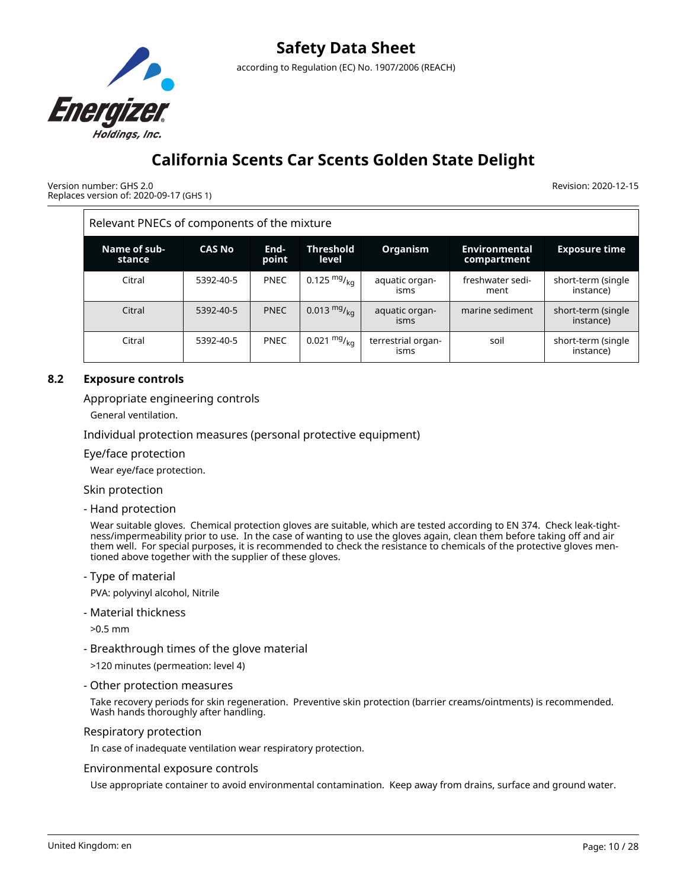

Version number: GHS 2.0 Replaces version of: 2020-09-17 (GHS 1) Revision: 2020-12-15

| Relevant PNECs of components of the mixture |               |               |                           |                            |                                     |                                 |
|---------------------------------------------|---------------|---------------|---------------------------|----------------------------|-------------------------------------|---------------------------------|
| Name of sub-<br>stance                      | <b>CAS No</b> | End-<br>point | <b>Threshold</b><br>level | <b>Organism</b>            | <b>Environmental</b><br>compartment | <b>Exposure time</b>            |
| Citral                                      | 5392-40-5     | <b>PNEC</b>   | 0.125 $mg/kq$             | aquatic organ-<br>isms     | freshwater sedi-<br>ment            | short-term (single<br>instance) |
| Citral                                      | 5392-40-5     | <b>PNEC</b>   | 0.013 $mg/_{kq}$          | aquatic organ-<br>isms     | marine sediment                     | short-term (single<br>instance) |
| Citral                                      | 5392-40-5     | <b>PNEC</b>   | $0.021 \frac{mg}{ka}$     | terrestrial organ-<br>isms | soil                                | short-term (single<br>instance) |

## **8.2 Exposure controls**

Appropriate engineering controls

General ventilation.

Individual protection measures (personal protective equipment)

Eye/face protection

Wear eye/face protection.

Skin protection

- Hand protection

Wear suitable gloves. Chemical protection gloves are suitable, which are tested according to EN 374. Check leak-tightness/impermeability prior to use. In the case of wanting to use the gloves again, clean them before taking off and air them well. For special purposes, it is recommended to check the resistance to chemicals of the protective gloves mentioned above together with the supplier of these gloves.

- Type of material

PVA: polyvinyl alcohol, Nitrile

- Material thickness

>0.5 mm

- Breakthrough times of the glove material

>120 minutes (permeation: level 4)

- Other protection measures

Take recovery periods for skin regeneration. Preventive skin protection (barrier creams/ointments) is recommended. Wash hands thoroughly after handling.

Respiratory protection

In case of inadequate ventilation wear respiratory protection.

Environmental exposure controls

Use appropriate container to avoid environmental contamination. Keep away from drains, surface and ground water.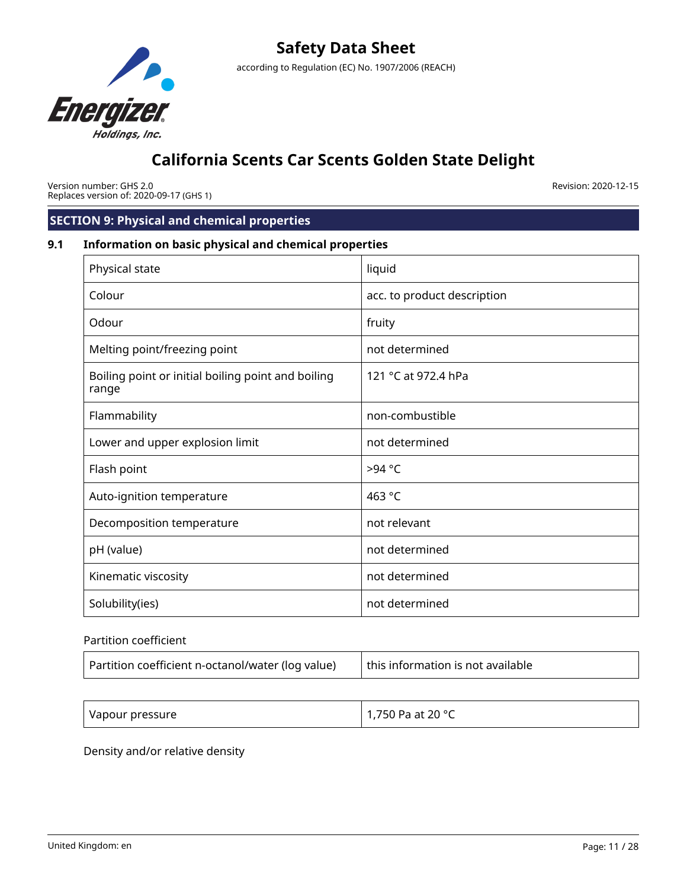

Version number: GHS 2.0 Replaces version of: 2020-09-17 (GHS 1) Revision: 2020-12-15

# **SECTION 9: Physical and chemical properties**

## **9.1 Information on basic physical and chemical properties**

| Physical state                                              | liquid                      |
|-------------------------------------------------------------|-----------------------------|
| Colour                                                      | acc. to product description |
| Odour                                                       | fruity                      |
| Melting point/freezing point                                | not determined              |
| Boiling point or initial boiling point and boiling<br>range | 121 °C at 972.4 hPa         |
| Flammability                                                | non-combustible             |
| Lower and upper explosion limit                             | not determined              |
| Flash point                                                 | >94 °C                      |
| Auto-ignition temperature                                   | 463 °C                      |
| Decomposition temperature                                   | not relevant                |
| pH (value)                                                  | not determined              |
| Kinematic viscosity                                         | not determined              |
| Solubility(ies)                                             | not determined              |

## Partition coefficient

| Partition coefficient n-octanol/water (log value) | this information is not available |
|---------------------------------------------------|-----------------------------------|
|---------------------------------------------------|-----------------------------------|

| Vapour pressure | 1,750 Pa at 20 $^{\circ}$ C |
|-----------------|-----------------------------|
|-----------------|-----------------------------|

Density and/or relative density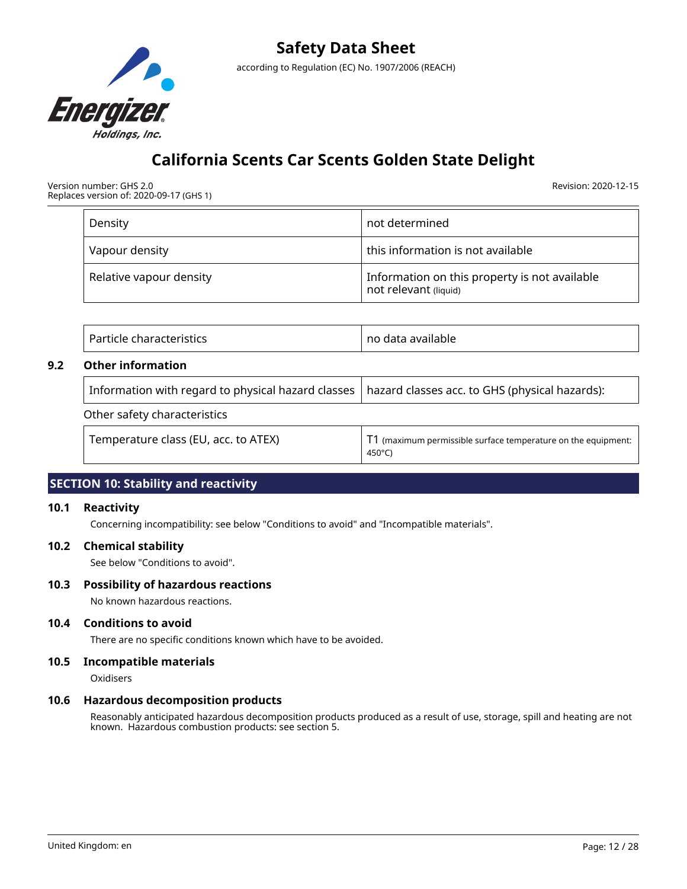

Version number: GHS 2.0 Replaces version of: 2020-09-17 (GHS 1) Revision: 2020-12-15

| Density                  | not determined                                                         |
|--------------------------|------------------------------------------------------------------------|
| Vapour density           | this information is not available                                      |
| Relative vapour density  | Information on this property is not available<br>not relevant (liquid) |
|                          |                                                                        |
| Particle characteristics | no data available                                                      |

## **9.2 Other information**

| Information with regard to physical hazard classes   hazard classes acc. to GHS (physical hazards): |                                                                                          |
|-----------------------------------------------------------------------------------------------------|------------------------------------------------------------------------------------------|
| Other safety characteristics                                                                        |                                                                                          |
| Temperature class (EU, acc. to ATEX)                                                                | $\mid$ T1 (maximum permissible surface temperature on the equipment:<br>$450^{\circ}$ C) |

## **SECTION 10: Stability and reactivity**

## **10.1 Reactivity**

Concerning incompatibility: see below "Conditions to avoid" and "Incompatible materials".

## **10.2 Chemical stability**

See below "Conditions to avoid".

## **10.3 Possibility of hazardous reactions**

No known hazardous reactions.

## **10.4 Conditions to avoid**

There are no specific conditions known which have to be avoided.

#### **10.5 Incompatible materials**

**Oxidisers** 

## **10.6 Hazardous decomposition products**

Reasonably anticipated hazardous decomposition products produced as a result of use, storage, spill and heating are not known. Hazardous combustion products: see section 5.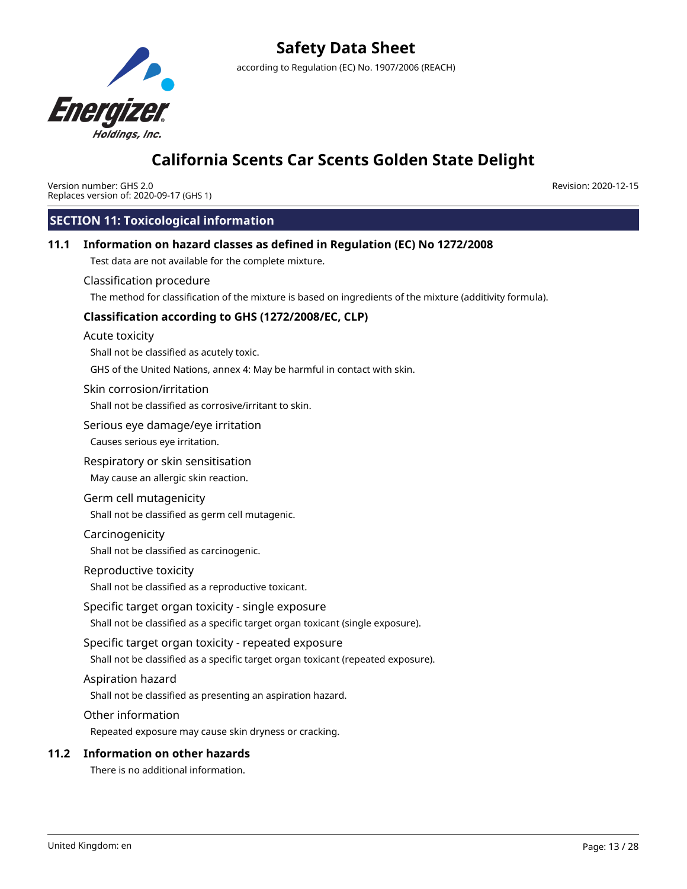

# **Safety Data Sheet** according to Regulation (EC) No. 1907/2006 (REACH)

# **California Scents Car Scents Golden State Delight**

Version number: GHS 2.0 Replaces version of: 2020-09-17 (GHS 1) Revision: 2020-12-15

## **SECTION 11: Toxicological information**

## **11.1 Information on hazard classes as defined in Regulation (EC) No 1272/2008**

Test data are not available for the complete mixture.

### Classification procedure

The method for classification of the mixture is based on ingredients of the mixture (additivity formula).

## **Classification according to GHS (1272/2008/EC, CLP)**

#### Acute toxicity

Shall not be classified as acutely toxic.

GHS of the United Nations, annex 4: May be harmful in contact with skin.

### Skin corrosion/irritation

Shall not be classified as corrosive/irritant to skin.

### Serious eye damage/eye irritation

Causes serious eye irritation.

# Respiratory or skin sensitisation

May cause an allergic skin reaction.

## Germ cell mutagenicity

Shall not be classified as germ cell mutagenic.

## Carcinogenicity

Shall not be classified as carcinogenic.

## Reproductive toxicity

Shall not be classified as a reproductive toxicant.

## Specific target organ toxicity - single exposure

Shall not be classified as a specific target organ toxicant (single exposure).

## Specific target organ toxicity - repeated exposure

Shall not be classified as a specific target organ toxicant (repeated exposure).

## Aspiration hazard

Shall not be classified as presenting an aspiration hazard.

Other information

Repeated exposure may cause skin dryness or cracking.

## **11.2 Information on other hazards**

There is no additional information.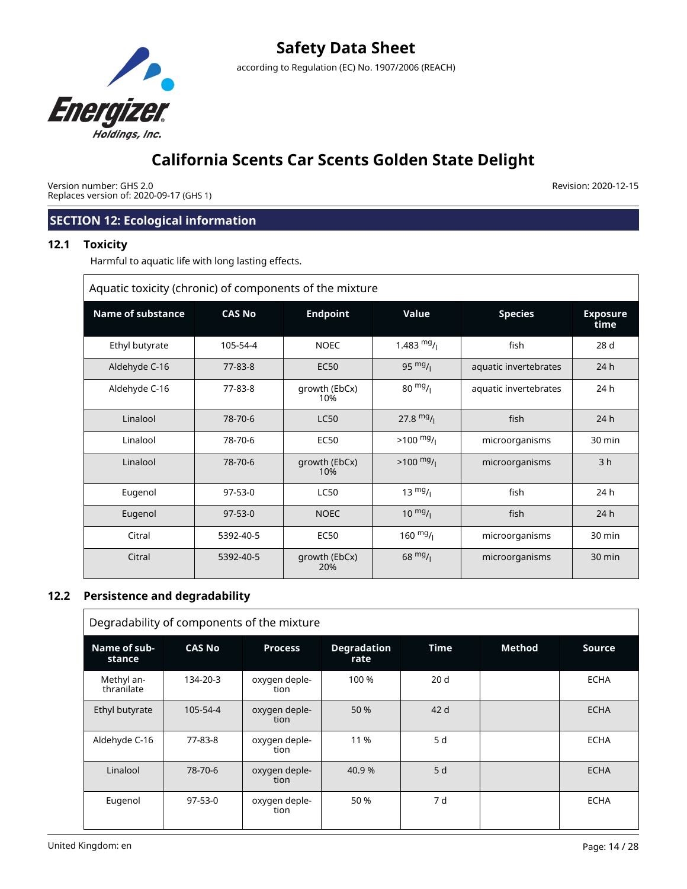

Version number: GHS 2.0 Replaces version of: 2020-09-17 (GHS 1) Revision: 2020-12-15

## **SECTION 12: Ecological information**

## **12.1 Toxicity**

Harmful to aquatic life with long lasting effects.

| Aquatic toxicity (chronic) of components of the mixture |               |                      |                     |                       |                         |
|---------------------------------------------------------|---------------|----------------------|---------------------|-----------------------|-------------------------|
| <b>Name of substance</b>                                | <b>CAS No</b> | <b>Endpoint</b>      | Value               | <b>Species</b>        | <b>Exposure</b><br>time |
| Ethyl butyrate                                          | 105-54-4      | <b>NOEC</b>          | 1.483 $mg/$         | fish                  | 28 d                    |
| Aldehyde C-16                                           | 77-83-8       | <b>EC50</b>          | 95 $mg/1$           | aquatic invertebrates | 24h                     |
| Aldehyde C-16                                           | 77-83-8       | growth (EbCx)<br>10% | $80 \frac{mg}{l}$   | aquatic invertebrates | 24 h                    |
| Linalool                                                | 78-70-6       | <b>LC50</b>          | $27.8 \frac{mg}{l}$ | fish                  | 24h                     |
| Linalool                                                | 78-70-6       | <b>EC50</b>          | $>100 \frac{mg}{l}$ | microorganisms        | 30 min                  |
| Linalool                                                | 78-70-6       | growth (EbCx)<br>10% | $>100 \frac{mg}{l}$ | microorganisms        | 3 <sub>h</sub>          |
| Eugenol                                                 | $97 - 53 - 0$ | <b>LC50</b>          | $13 \frac{mg}{l}$   | fish                  | 24 h                    |
| Eugenol                                                 | $97 - 53 - 0$ | <b>NOEC</b>          | $10^{mg}$ /         | fish                  | 24h                     |
| Citral                                                  | 5392-40-5     | <b>EC50</b>          | 160 $mg/$           | microorganisms        | 30 min                  |
| Citral                                                  | 5392-40-5     | growth (EbCx)<br>20% | $68 \frac{mg}{l}$   | microorganisms        | $30$ min                |

## **12.2 Persistence and degradability**

| Degradability of components of the mixture |               |                       |                            |                 |               |               |
|--------------------------------------------|---------------|-----------------------|----------------------------|-----------------|---------------|---------------|
| Name of sub-<br>stance                     | <b>CAS No</b> | <b>Process</b>        | <b>Degradation</b><br>rate | <b>Time</b>     | <b>Method</b> | <b>Source</b> |
| Methyl an-<br>thranilate                   | 134-20-3      | oxygen deple-<br>tion | 100 %                      | 20 <sub>d</sub> |               | <b>ECHA</b>   |
| Ethyl butyrate                             | 105-54-4      | oxygen deple-<br>tion | 50 %                       | 42d             |               | <b>ECHA</b>   |
| Aldehyde C-16                              | 77-83-8       | oxygen deple-<br>tion | 11 %                       | 5 d             |               | <b>ECHA</b>   |
| Linalool                                   | 78-70-6       | oxygen deple-<br>tion | 40.9 %                     | 5d              |               | <b>ECHA</b>   |
| Eugenol                                    | $97-53-0$     | oxygen deple-<br>tion | 50 %                       | 7 d             |               | <b>ECHA</b>   |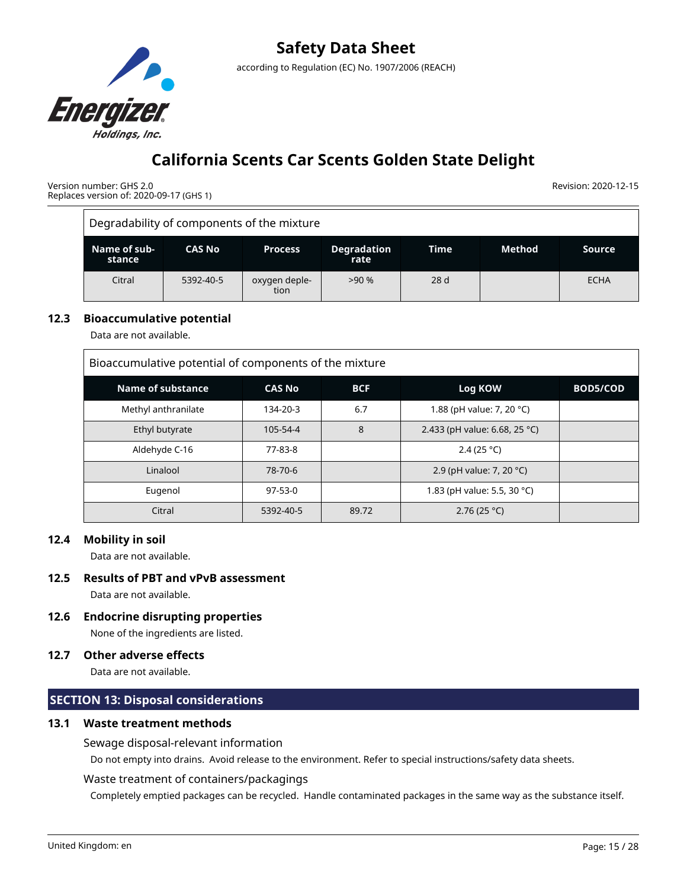

Version number: GHS 2.0 Replaces version of: 2020-09-17 (GHS 1) Revision: 2020-12-15

| Degradability of components of the mixture |               |                       |                            |      |        |             |
|--------------------------------------------|---------------|-----------------------|----------------------------|------|--------|-------------|
| Name of sub-<br>stance                     | <b>CAS No</b> | <b>Process</b>        | <b>Degradation</b><br>rate | Time | Method | Source      |
| Citral                                     | 5392-40-5     | oxygen deple-<br>tion | >90%                       | 28d  |        | <b>ECHA</b> |

## **12.3 Bioaccumulative potential**

Data are not available.

| Bioaccumulative potential of components of the mixture |               |            |                               |          |  |
|--------------------------------------------------------|---------------|------------|-------------------------------|----------|--|
| Name of substance                                      | <b>CAS No</b> | <b>BCF</b> | Log KOW                       | BOD5/COD |  |
| Methyl anthranilate                                    | 134-20-3      | 6.7        | 1.88 (pH value: 7, 20 °C)     |          |  |
| Ethyl butyrate                                         | 105-54-4      | 8          | 2.433 (pH value: 6.68, 25 °C) |          |  |
| Aldehyde C-16                                          | 77-83-8       |            | 2.4 (25 °C)                   |          |  |
| Linalool                                               | 78-70-6       |            | 2.9 (pH value: 7, 20 °C)      |          |  |
| Eugenol                                                | $97 - 53 - 0$ |            | 1.83 (pH value: 5.5, 30 °C)   |          |  |
| Citral                                                 | 5392-40-5     | 89.72      | 2.76(25 °C)                   |          |  |

## **12.4 Mobility in soil**

Data are not available.

## **12.5 Results of PBT and vPvB assessment**

Data are not available.

**12.6 Endocrine disrupting properties**

None of the ingredients are listed.

## **12.7 Other adverse effects**

Data are not available.

## **SECTION 13: Disposal considerations**

## **13.1 Waste treatment methods**

## Sewage disposal-relevant information

Do not empty into drains. Avoid release to the environment. Refer to special instructions/safety data sheets.

## Waste treatment of containers/packagings

Completely emptied packages can be recycled. Handle contaminated packages in the same way as the substance itself.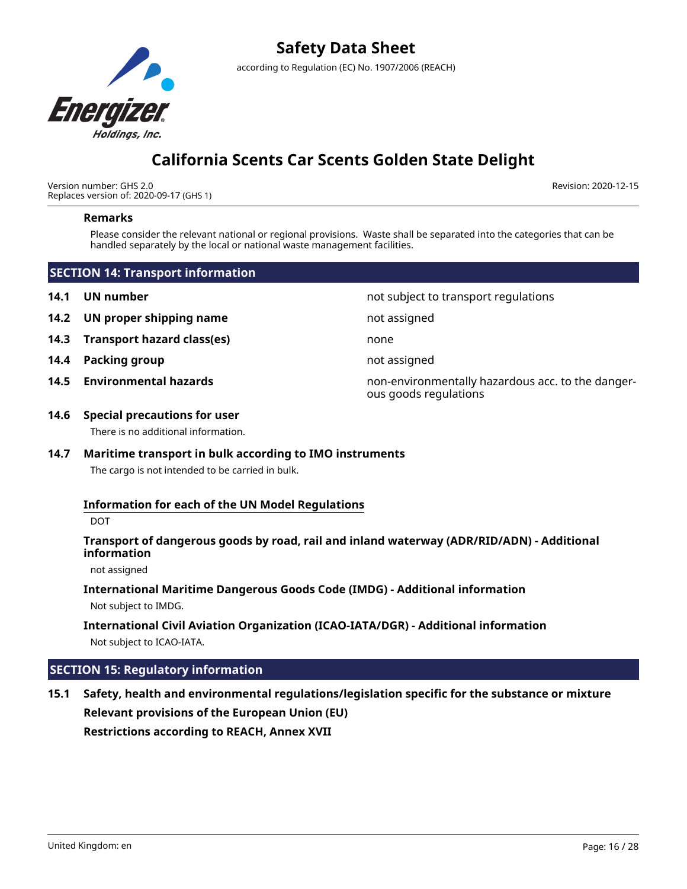

Version number: GHS 2.0 Replaces version of: 2020-09-17 (GHS 1) Revision: 2020-12-15

## **Remarks**

Please consider the relevant national or regional provisions. Waste shall be separated into the categories that can be handled separately by the local or national waste management facilities.

| <b>SECTION 14: Transport information</b> |                                   |                                                                            |  |  |  |
|------------------------------------------|-----------------------------------|----------------------------------------------------------------------------|--|--|--|
| 14.1                                     | UN number                         | not subject to transport regulations                                       |  |  |  |
| 14.2                                     | UN proper shipping name           | not assigned                                                               |  |  |  |
| 14.3                                     | <b>Transport hazard class(es)</b> | none                                                                       |  |  |  |
| 14.4                                     | Packing group                     | not assigned                                                               |  |  |  |
| 14.5                                     | <b>Environmental hazards</b>      | non-environmentally hazardous acc. to the danger-<br>ous goods regulations |  |  |  |

## **14.6 Special precautions for user**

There is no additional information.

## **14.7 Maritime transport in bulk according to IMO instruments**

The cargo is not intended to be carried in bulk.

## **Information for each of the UN Model Regulations**

DOT

## **Transport of dangerous goods by road, rail and inland waterway (ADR/RID/ADN) - Additional information**

not assigned

# **International Maritime Dangerous Goods Code (IMDG) - Additional information**

Not subject to IMDG.

## **International Civil Aviation Organization (ICAO-IATA/DGR) - Additional information** Not subject to ICAO-IATA.

## **SECTION 15: Regulatory information**

# **15.1 Safety, health and environmental regulations/legislation specific for the substance or mixture Relevant provisions of the European Union (EU) Restrictions according to REACH, Annex XVII**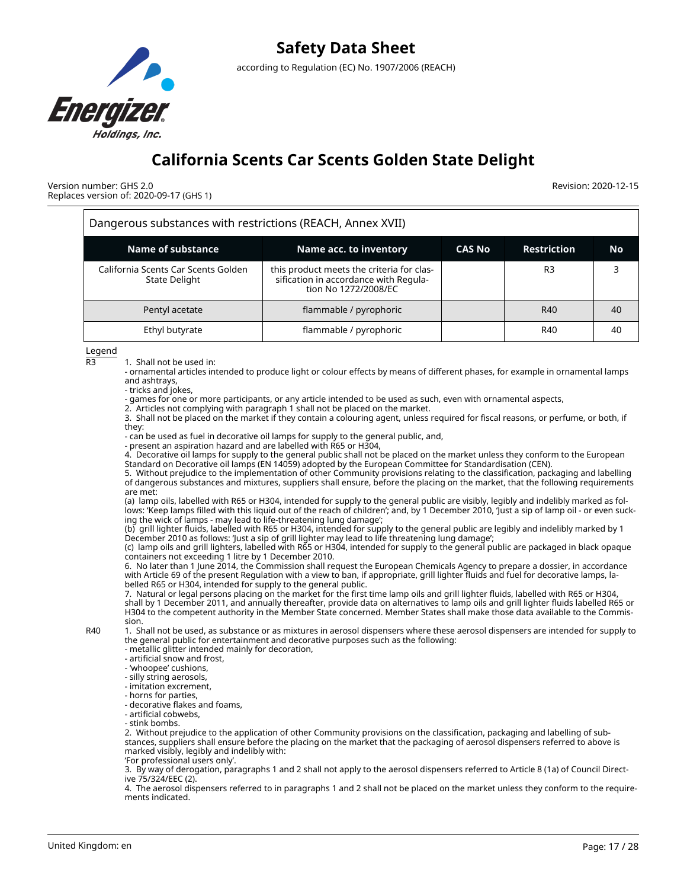

Version number: GHS 2.0 Replaces version of: 2020-09-17 (GHS 1) Revision: 2020-12-15

| Dangerous substances with restrictions (REACH, Annex XVII) |                                                                                                       |               |                    |           |
|------------------------------------------------------------|-------------------------------------------------------------------------------------------------------|---------------|--------------------|-----------|
| Name of substance                                          | Name acc. to inventory                                                                                | <b>CAS No</b> | <b>Restriction</b> | <b>No</b> |
| California Scents Car Scents Golden<br>State Delight       | this product meets the criteria for classification in accordance with Regula-<br>tion No 1272/2008/EC |               | R <sub>3</sub>     |           |
| Pentyl acetate                                             | flammable / pyrophoric                                                                                |               | R40                | 40        |
| Ethyl butyrate                                             | flammable / pyrophoric                                                                                |               | R40                | 40        |

Legend

 $R3$  1. Shall not be used in:

- ornamental articles intended to produce light or colour effects by means of different phases, for example in ornamental lamps and ashtrays,

- tricks and jokes,

- games for one or more participants, or any article intended to be used as such, even with ornamental aspects,

2. Articles not complying with paragraph 1 shall not be placed on the market.

3. Shall not be placed on the market if they contain a colouring agent, unless required for fiscal reasons, or perfume, or both, if they:

- can be used as fuel in decorative oil lamps for supply to the general public, and,

- present an aspiration hazard and are labelled with R65 or H304,

4. Decorative oil lamps for supply to the general public shall not be placed on the market unless they conform to the European Standard on Decorative oil lamps (EN 14059) adopted by the European Committee for Standardisation (CEN).

5. Without prejudice to the implementation of other Community provisions relating to the classification, packaging and labelling of dangerous substances and mixtures, suppliers shall ensure, before the placing on the market, that the following requirements are met:

(a) lamp oils, labelled with R65 or H304, intended for supply to the general public are visibly, legibly and indelibly marked as follows: 'Keep lamps filled with this liquid out of the reach of children'; and, by 1 December 2010, 'Just a sip of lamp oil - or even sucking the wick of lamps - may lead to life-threatening lung damage';

(b) grill lighter fluids, labelled with R65 or H304, intended for supply to the general public are legibly and indelibly marked by 1 December 2010 as follows: 'Just a sip of grill lighter may lead to life threatening lung damage';

(c) lamp oils and grill lighters, labelled with R65 or H304, intended for supply to the general public are packaged in black opaque containers not exceeding 1 litre by 1 December 2010.

6. No later than 1 June 2014, the Commission shall request the European Chemicals Agency to prepare a dossier, in accordance with Article 69 of the present Regulation with a view to ban, if appropriate, grill lighter fluids and fuel for decorative lamps, labelled R65 or H304, intended for supply to the general public.

7. Natural or legal persons placing on the market for the first time lamp oils and grill lighter fluids, labelled with R65 or H304, shall by 1 December 2011, and annually thereafter, provide data on alternatives to lamp oils and grill lighter fluids labelled R65 or H304 to the competent authority in the Member State concerned. Member States shall make those data available to the Commission.

R40 1. Shall not be used, as substance or as mixtures in aerosol dispensers where these aerosol dispensers are intended for supply to the general public for entertainment and decorative purposes such as the following:

- metallic glitter intended mainly for decoration,
- artificial snow and frost,
- 'whoopee' cushions,
- silly string aerosols,
- imitation excrement,
- horns for parties,
- decorative flakes and foams,
- artificial cobwebs,
- stink bombs.

2. Without prejudice to the application of other Community provisions on the classification, packaging and labelling of substances, suppliers shall ensure before the placing on the market that the packaging of aerosol dispensers referred to above is marked visibly, legibly and indelibly with:

'For professional users only'.

3. By way of derogation, paragraphs 1 and 2 shall not apply to the aerosol dispensers referred to Article 8 (1a) of Council Directive 75/324/EEC (2).

4. The aerosol dispensers referred to in paragraphs 1 and 2 shall not be placed on the market unless they conform to the requirements indicated.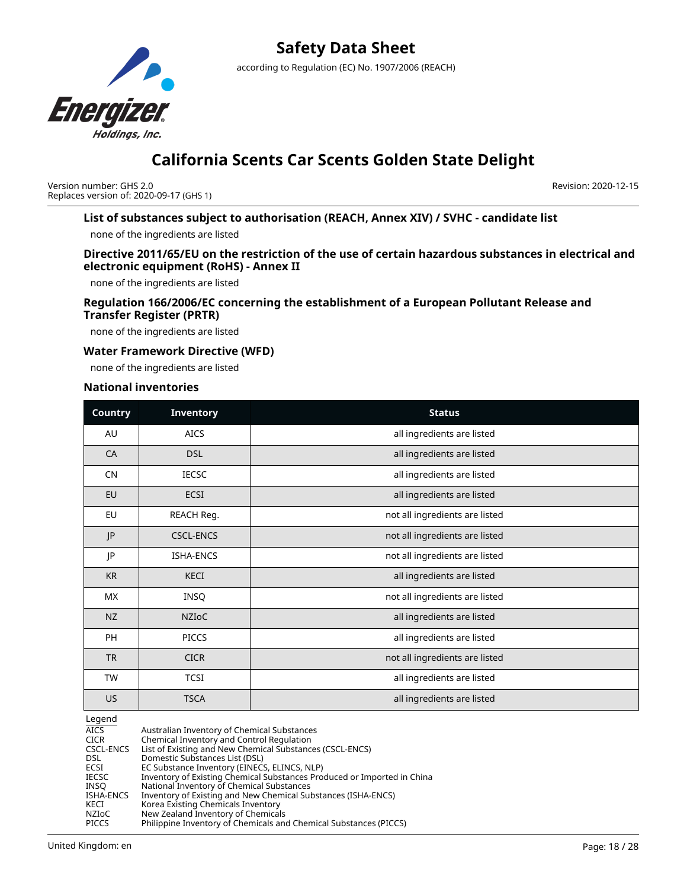

# **Safety Data Sheet** according to Regulation (EC) No. 1907/2006 (REACH)

# **California Scents Car Scents Golden State Delight**

Version number: GHS 2.0 Replaces version of: 2020-09-17 (GHS 1) Revision: 2020-12-15

## **List of substances subject to authorisation (REACH, Annex XIV) / SVHC - candidate list**

none of the ingredients are listed

## **Directive 2011/65/EU on the restriction of the use of certain hazardous substances in electrical and electronic equipment (RoHS) - Annex II**

none of the ingredients are listed

## **Regulation 166/2006/EC concerning the establishment of a European Pollutant Release and Transfer Register (PRTR)**

none of the ingredients are listed

## **Water Framework Directive (WFD)**

none of the ingredients are listed

### **National inventories**

| Country   | <b>Inventory</b> | <b>Status</b>                  |
|-----------|------------------|--------------------------------|
| AU        | <b>AICS</b>      | all ingredients are listed     |
| <b>CA</b> | <b>DSL</b>       | all ingredients are listed     |
| <b>CN</b> | <b>IECSC</b>     | all ingredients are listed     |
| EU        | <b>ECSI</b>      | all ingredients are listed     |
| EU        | REACH Reg.       | not all ingredients are listed |
| JP        | <b>CSCL-ENCS</b> | not all ingredients are listed |
| JP        | <b>ISHA-ENCS</b> | not all ingredients are listed |
| <b>KR</b> | KECI             | all ingredients are listed     |
| MX        | <b>INSQ</b>      | not all ingredients are listed |
| <b>NZ</b> | <b>NZIOC</b>     | all ingredients are listed     |
| PH        | <b>PICCS</b>     | all ingredients are listed     |
| <b>TR</b> | <b>CICR</b>      | not all ingredients are listed |
| <b>TW</b> | <b>TCSI</b>      | all ingredients are listed     |
| US.       | <b>TSCA</b>      | all ingredients are listed     |

#### Legend

| AICS      | Australian Inventory of Chemical Substances                             |
|-----------|-------------------------------------------------------------------------|
| CICR      | Chemical Inventory and Control Regulation                               |
| CSCL-ENCS | List of Existing and New Chemical Substances (CSCL-ENCS)                |
| DSL.      | Domestic Substances List (DSL)                                          |
| ECSI      | EC Substance Inventory (EINECS, ELINCS, NLP)                            |
| IECSC     | Inventory of Existing Chemical Substances Produced or Imported in China |
| INSO      | National Inventory of Chemical Substances                               |
| ISHA-ENCS | Inventory of Existing and New Chemical Substances (ISHA-ENCS)           |
| KECI      | Korea Existing Chemicals Inventory                                      |
| NZIoC     | New Zealand Inventory of Chemicals                                      |
| PICCS     | Philippine Inventory of Chemicals and Chemical Substances (PICCS)       |
|           |                                                                         |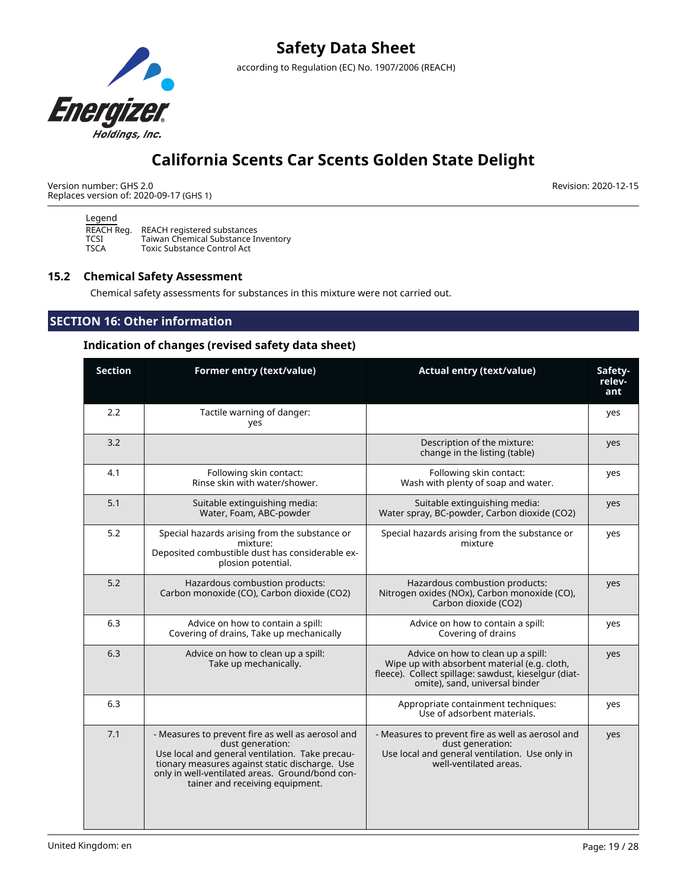

# **Safety Data Sheet** according to Regulation (EC) No. 1907/2006 (REACH)

# **California Scents Car Scents Golden State Delight**

Version number: GHS 2.0 Replaces version of: 2020-09-17 (GHS 1) Revision: 2020-12-15

#### Legend REACH Reg. REACH registered substances<br>TCSI Taiwan Chemical Substance In TCSI Taiwan Chemical Substance Inventory<br>
TSCA Toxic Substance Control Act Toxic Substance Control Act

## **15.2 Chemical Safety Assessment**

Chemical safety assessments for substances in this mixture were not carried out.

## **SECTION 16: Other information**

## **Indication of changes (revised safety data sheet)**

| <b>Section</b> | Former entry (text/value)                                                                                                                                                                                                                                        | Actual entry (text/value)                                                                                                                                                    | Safety-<br>relev-<br>ant |
|----------------|------------------------------------------------------------------------------------------------------------------------------------------------------------------------------------------------------------------------------------------------------------------|------------------------------------------------------------------------------------------------------------------------------------------------------------------------------|--------------------------|
| 2.2            | Tactile warning of danger:<br>yes                                                                                                                                                                                                                                |                                                                                                                                                                              | yes                      |
| 3.2            |                                                                                                                                                                                                                                                                  | Description of the mixture:<br>change in the listing (table)                                                                                                                 | yes                      |
| 4.1            | Following skin contact:<br>Rinse skin with water/shower.                                                                                                                                                                                                         | Following skin contact:<br>Wash with plenty of soap and water.                                                                                                               | yes                      |
| 5.1            | Suitable extinguishing media:<br>Water, Foam, ABC-powder                                                                                                                                                                                                         | Suitable extinguishing media:<br>Water spray, BC-powder, Carbon dioxide (CO2)                                                                                                | yes                      |
| 5.2            | Special hazards arising from the substance or<br>mixture:<br>Deposited combustible dust has considerable ex-<br>plosion potential.                                                                                                                               | Special hazards arising from the substance or<br>mixture                                                                                                                     | yes                      |
| 5.2            | Hazardous combustion products:<br>Carbon monoxide (CO), Carbon dioxide (CO2)                                                                                                                                                                                     | Hazardous combustion products:<br>Nitrogen oxides (NOx), Carbon monoxide (CO),<br>Carbon dioxide (CO2)                                                                       | yes                      |
| 6.3            | Advice on how to contain a spill:<br>Covering of drains, Take up mechanically                                                                                                                                                                                    | Advice on how to contain a spill:<br>Covering of drains                                                                                                                      | yes                      |
| 6.3            | Advice on how to clean up a spill:<br>Take up mechanically.                                                                                                                                                                                                      | Advice on how to clean up a spill:<br>Wipe up with absorbent material (e.g. cloth,<br>fleece). Collect spillage: sawdust, kieselgur (diat-<br>omite), sand, universal binder | yes                      |
| 6.3            |                                                                                                                                                                                                                                                                  | Appropriate containment techniques:<br>Use of adsorbent materials.                                                                                                           | yes                      |
| 7.1            | - Measures to prevent fire as well as aerosol and<br>dust generation:<br>Use local and general ventilation. Take precau-<br>tionary measures against static discharge. Use<br>only in well-ventilated areas. Ground/bond con-<br>tainer and receiving equipment. | - Measures to prevent fire as well as aerosol and<br>dust generation:<br>Use local and general ventilation. Use only in<br>well-ventilated areas.                            | yes                      |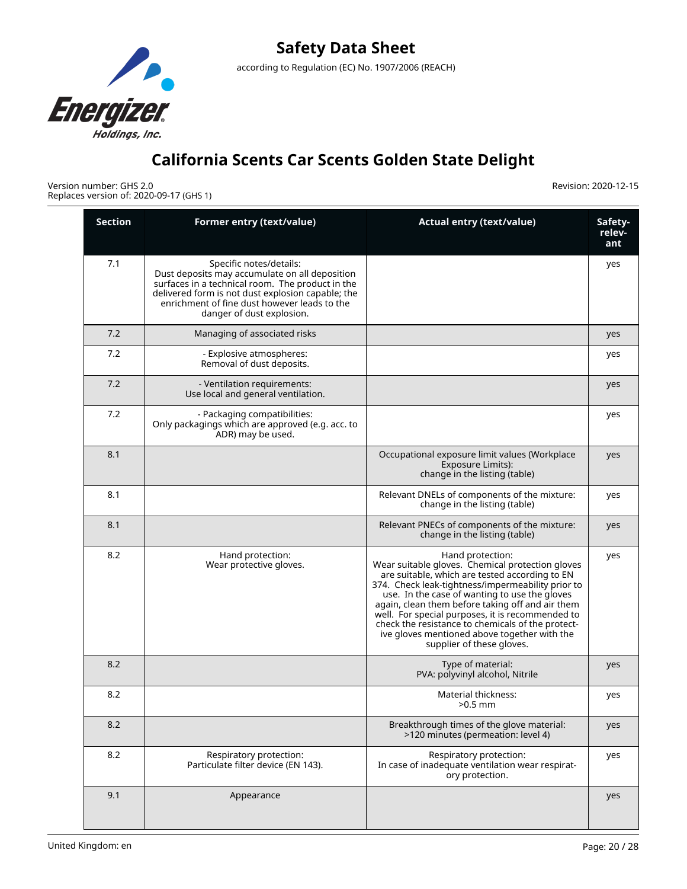

Version number: GHS 2.0 Replaces version of: 2020-09-17 (GHS 1)

| <b>Section</b> | Former entry (text/value)                                                                                                                                                                                                                                       | <b>Actual entry (text/value)</b>                                                                                                                                                                                                                                                                                                                                                                                                                                       | Safety-<br>relev-<br>ant |
|----------------|-----------------------------------------------------------------------------------------------------------------------------------------------------------------------------------------------------------------------------------------------------------------|------------------------------------------------------------------------------------------------------------------------------------------------------------------------------------------------------------------------------------------------------------------------------------------------------------------------------------------------------------------------------------------------------------------------------------------------------------------------|--------------------------|
| 7.1            | Specific notes/details:<br>Dust deposits may accumulate on all deposition<br>surfaces in a technical room. The product in the<br>delivered form is not dust explosion capable; the<br>enrichment of fine dust however leads to the<br>danger of dust explosion. |                                                                                                                                                                                                                                                                                                                                                                                                                                                                        | yes                      |
| 7.2            | Managing of associated risks                                                                                                                                                                                                                                    |                                                                                                                                                                                                                                                                                                                                                                                                                                                                        | yes                      |
| 7.2            | - Explosive atmospheres:<br>Removal of dust deposits.                                                                                                                                                                                                           |                                                                                                                                                                                                                                                                                                                                                                                                                                                                        | yes                      |
| 7.2            | - Ventilation requirements:<br>Use local and general ventilation.                                                                                                                                                                                               |                                                                                                                                                                                                                                                                                                                                                                                                                                                                        | yes                      |
| 7.2            | - Packaging compatibilities:<br>Only packagings which are approved (e.g. acc. to<br>ADR) may be used.                                                                                                                                                           |                                                                                                                                                                                                                                                                                                                                                                                                                                                                        | yes                      |
| 8.1            |                                                                                                                                                                                                                                                                 | Occupational exposure limit values (Workplace<br>Exposure Limits):<br>change in the listing (table)                                                                                                                                                                                                                                                                                                                                                                    | yes                      |
| 8.1            |                                                                                                                                                                                                                                                                 | Relevant DNELs of components of the mixture:<br>change in the listing (table)                                                                                                                                                                                                                                                                                                                                                                                          | yes                      |
| 8.1            |                                                                                                                                                                                                                                                                 | Relevant PNECs of components of the mixture:<br>change in the listing (table)                                                                                                                                                                                                                                                                                                                                                                                          | yes                      |
| 8.2            | Hand protection:<br>Wear protective gloves.                                                                                                                                                                                                                     | Hand protection:<br>Wear suitable gloves. Chemical protection gloves<br>are suitable, which are tested according to EN<br>374. Check leak-tightness/impermeability prior to<br>use. In the case of wanting to use the gloves<br>again, clean them before taking off and air them<br>well. For special purposes, it is recommended to<br>check the resistance to chemicals of the protect-<br>ive gloves mentioned above together with the<br>supplier of these gloves. | yes                      |
| 8.2            |                                                                                                                                                                                                                                                                 | Type of material:<br>PVA: polyvinyl alcohol, Nitrile                                                                                                                                                                                                                                                                                                                                                                                                                   | yes                      |
| 8.2            |                                                                                                                                                                                                                                                                 | Material thickness:<br>$>0.5$ mm                                                                                                                                                                                                                                                                                                                                                                                                                                       | yes                      |
| 8.2            |                                                                                                                                                                                                                                                                 | Breakthrough times of the glove material:<br>>120 minutes (permeation: level 4)                                                                                                                                                                                                                                                                                                                                                                                        | yes                      |
| 8.2            | Respiratory protection:<br>Particulate filter device (EN 143).                                                                                                                                                                                                  | Respiratory protection:<br>In case of inadequate ventilation wear respirat-<br>ory protection.                                                                                                                                                                                                                                                                                                                                                                         | yes                      |
| 9.1            | Appearance                                                                                                                                                                                                                                                      |                                                                                                                                                                                                                                                                                                                                                                                                                                                                        | yes                      |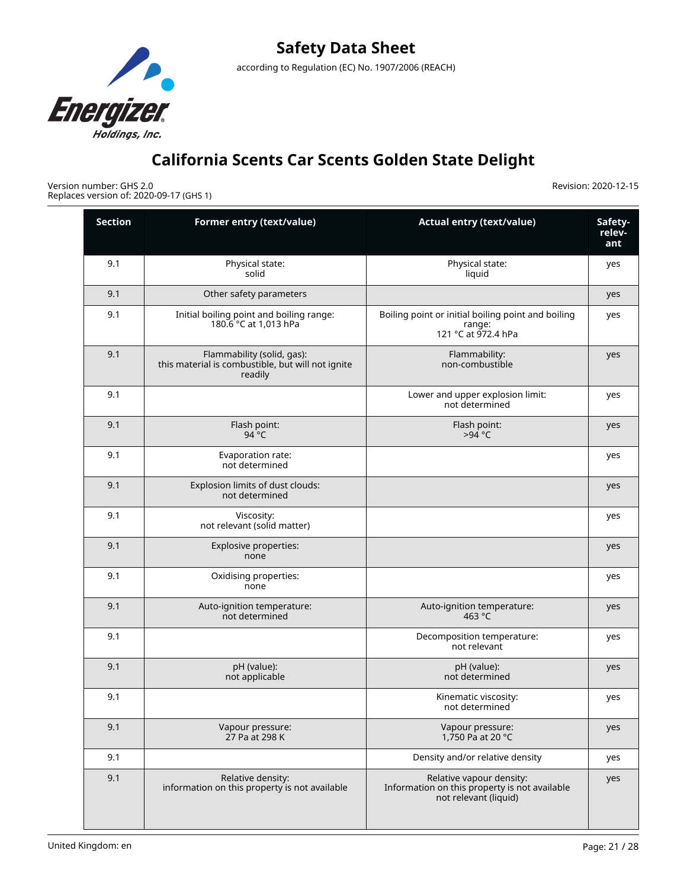

Version number: GHS 2.0 Replaces version of: 2020-09-17 (GHS 1)

| <b>Section</b> | Former entry (text/value)                                                                  | <b>Actual entry (text/value)</b>                                                                   | Safety-<br>relev-<br>ant |
|----------------|--------------------------------------------------------------------------------------------|----------------------------------------------------------------------------------------------------|--------------------------|
| 9.1            | Physical state:<br>solid                                                                   | Physical state:<br>liquid                                                                          | yes                      |
| 9.1            | Other safety parameters                                                                    |                                                                                                    | yes                      |
| 9.1            | Initial boiling point and boiling range:<br>180.6 °C at 1,013 hPa                          | Boiling point or initial boiling point and boiling<br>range:<br>121 °C at 972.4 hPa                | yes                      |
| 9.1            | Flammability (solid, gas):<br>this material is combustible, but will not ignite<br>readily | Flammability:<br>non-combustible                                                                   | yes                      |
| 9.1            |                                                                                            | Lower and upper explosion limit:<br>not determined                                                 | yes                      |
| 9.1            | Flash point:<br>94 °C                                                                      | Flash point:<br>>94 °C                                                                             | yes                      |
| 9.1            | Evaporation rate:<br>not determined                                                        |                                                                                                    | yes                      |
| 9.1            | Explosion limits of dust clouds:<br>not determined                                         |                                                                                                    | yes                      |
| 9.1            | Viscosity:<br>not relevant (solid matter)                                                  |                                                                                                    | yes                      |
| 9.1            | Explosive properties:<br>none                                                              |                                                                                                    | yes                      |
| 9.1            | Oxidising properties:<br>none                                                              |                                                                                                    | yes                      |
| 9.1            | Auto-ignition temperature:<br>not determined                                               | Auto-ignition temperature:<br>463 $\degree$ C                                                      | yes                      |
| 9.1            |                                                                                            | Decomposition temperature:<br>not relevant                                                         | yes                      |
| 9.1            | pH (value):<br>not applicable                                                              | pH (value):<br>not determined                                                                      | yes                      |
| 9.1            |                                                                                            | Kinematic viscosity:<br>not determined                                                             | yes                      |
| 9.1            | Vapour pressure:<br>27 Pa at 298 K                                                         | Vapour pressure:<br>1,750 Pa at 20 °C                                                              | yes                      |
| 9.1            |                                                                                            | Density and/or relative density                                                                    | yes                      |
| 9.1            | Relative density:<br>information on this property is not available                         | Relative vapour density:<br>Information on this property is not available<br>not relevant (liquid) | yes                      |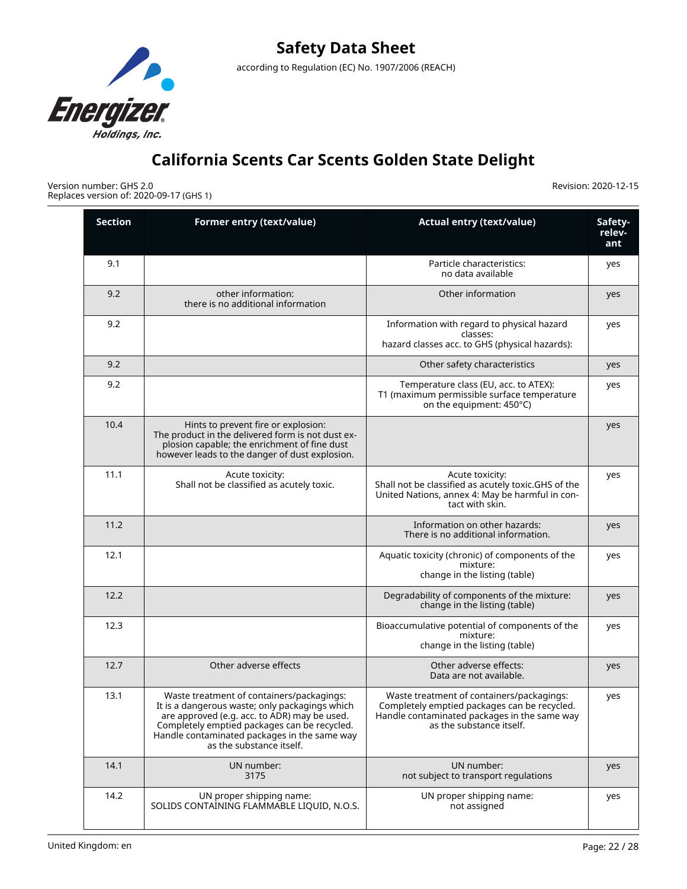

Version number: GHS 2.0 Replaces version of: 2020-09-17 (GHS 1)

| <b>Section</b> | Former entry (text/value)                                                                                                                                                                                                                                               | <b>Actual entry (text/value)</b>                                                                                                                                      | Safety-<br>relev-<br>ant |
|----------------|-------------------------------------------------------------------------------------------------------------------------------------------------------------------------------------------------------------------------------------------------------------------------|-----------------------------------------------------------------------------------------------------------------------------------------------------------------------|--------------------------|
| 9.1            |                                                                                                                                                                                                                                                                         | Particle characteristics:<br>no data available                                                                                                                        | yes                      |
| 9.2            | other information:<br>there is no additional information                                                                                                                                                                                                                | Other information                                                                                                                                                     | yes                      |
| 9.2            |                                                                                                                                                                                                                                                                         | Information with regard to physical hazard<br>classes:<br>hazard classes acc. to GHS (physical hazards):                                                              | yes                      |
| 9.2            |                                                                                                                                                                                                                                                                         | Other safety characteristics                                                                                                                                          | yes                      |
| 9.2            |                                                                                                                                                                                                                                                                         | Temperature class (EU, acc. to ATEX):<br>T1 (maximum permissible surface temperature<br>on the equipment: 450°C)                                                      | yes                      |
| 10.4           | Hints to prevent fire or explosion:<br>The product in the delivered form is not dust ex-<br>plosion capable; the enrichment of fine dust<br>however leads to the danger of dust explosion.                                                                              |                                                                                                                                                                       | yes                      |
| 11.1           | Acute toxicity:<br>Shall not be classified as acutely toxic.                                                                                                                                                                                                            | Acute toxicity:<br>Shall not be classified as acutely toxic.GHS of the<br>United Nations, annex 4: May be harmful in con-<br>tact with skin.                          | yes                      |
| 11.2           |                                                                                                                                                                                                                                                                         | Information on other hazards:<br>There is no additional information.                                                                                                  | yes                      |
| 12.1           |                                                                                                                                                                                                                                                                         | Aquatic toxicity (chronic) of components of the<br>mixture:<br>change in the listing (table)                                                                          | yes                      |
| 12.2           |                                                                                                                                                                                                                                                                         | Degradability of components of the mixture:<br>change in the listing (table)                                                                                          | yes                      |
| 12.3           |                                                                                                                                                                                                                                                                         | Bioaccumulative potential of components of the<br>mixture:<br>change in the listing (table)                                                                           | yes                      |
| 12.7           | Other adverse effects                                                                                                                                                                                                                                                   | Other adverse effects:<br>Data are not available.                                                                                                                     | yes                      |
| 13.1           | Waste treatment of containers/packagings:<br>It is a dangerous waste; only packagings which<br>are approved (e.g. acc. to ADR) may be used.<br>Completely emptied packages can be recycled.<br>Handle contaminated packages in the same way<br>as the substance itself. | Waste treatment of containers/packagings:<br>Completely emptied packages can be recycled.<br>Handle contaminated packages in the same way<br>as the substance itself. | yes                      |
| 14.1           | UN number:<br>3175                                                                                                                                                                                                                                                      | UN number:<br>not subject to transport regulations                                                                                                                    | yes                      |
| 14.2           | UN proper shipping name:<br>SOLIDS CONTAINING FLAMMABLE LIQUID, N.O.S.                                                                                                                                                                                                  | UN proper shipping name:<br>not assigned                                                                                                                              | yes                      |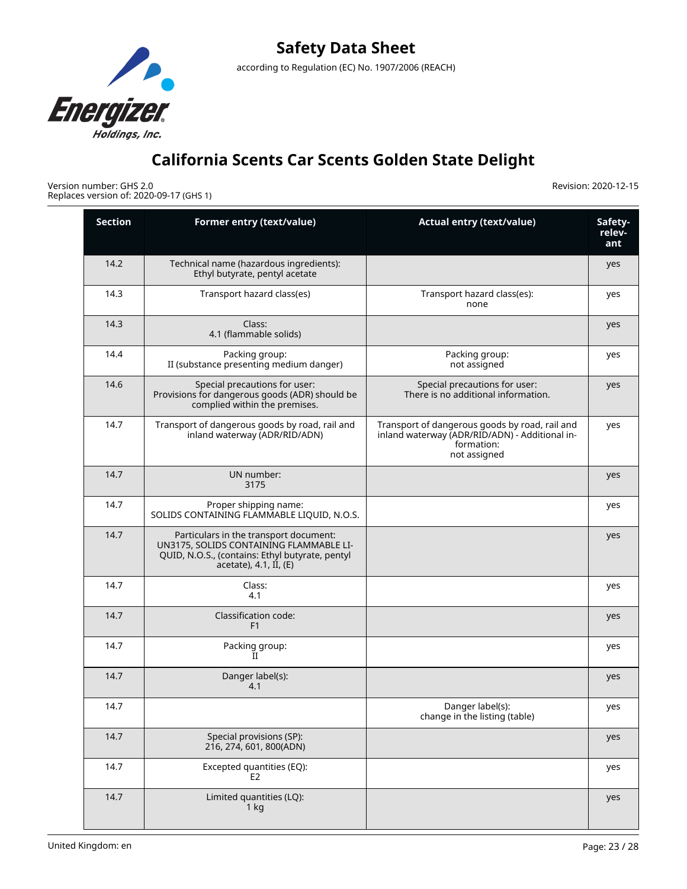

Version number: GHS 2.0 Replaces version of: 2020-09-17 (GHS 1)

| <b>Section</b> | Former entry (text/value)                                                                                                                                      | <b>Actual entry (text/value)</b>                                                                                               | Safety-<br>relev-<br>ant |
|----------------|----------------------------------------------------------------------------------------------------------------------------------------------------------------|--------------------------------------------------------------------------------------------------------------------------------|--------------------------|
| 14.2           | Technical name (hazardous ingredients):<br>Ethyl butyrate, pentyl acetate                                                                                      |                                                                                                                                | yes                      |
| 14.3           | Transport hazard class(es)                                                                                                                                     | Transport hazard class(es):<br>none                                                                                            | yes                      |
| 14.3           | Class:<br>4.1 (flammable solids)                                                                                                                               |                                                                                                                                | yes                      |
| 14.4           | Packing group:<br>II (substance presenting medium danger)                                                                                                      | Packing group:<br>not assigned                                                                                                 | yes                      |
| 14.6           | Special precautions for user:<br>Provisions for dangerous goods (ADR) should be<br>complied within the premises.                                               | Special precautions for user:<br>There is no additional information.                                                           | yes                      |
| 14.7           | Transport of dangerous goods by road, rail and<br>inland waterway (ADR/RID/ADN)                                                                                | Transport of dangerous goods by road, rail and<br>inland waterway (ADR/RID/ADN) - Additional in-<br>formation:<br>not assigned | yes                      |
| 14.7           | UN number:<br>3175                                                                                                                                             |                                                                                                                                | yes                      |
| 14.7           | Proper shipping name:<br>SOLIDS CONTAINING FLAMMABLE LIQUID, N.O.S.                                                                                            |                                                                                                                                | yes                      |
| 14.7           | Particulars in the transport document:<br>UN3175, SOLIDS CONTAINING FLAMMABLE LI-<br>QUID, N.O.S., (contains: Ethyl butyrate, pentyl<br>acetate), 4.1, II, (E) |                                                                                                                                | yes                      |
| 14.7           | Class:<br>4.1                                                                                                                                                  |                                                                                                                                | yes                      |
| 14.7           | Classification code:<br>F <sub>1</sub>                                                                                                                         |                                                                                                                                | yes                      |
| 14.7           | Packing group:<br>$_{\rm II}$                                                                                                                                  |                                                                                                                                | yes                      |
| 14.7           | Danger label(s):<br>4.1                                                                                                                                        |                                                                                                                                | yes                      |
| 14.7           |                                                                                                                                                                | Danger label(s):<br>change in the listing (table)                                                                              | yes                      |
| 14.7           | Special provisions (SP):<br>216, 274, 601, 800(ADN)                                                                                                            |                                                                                                                                | yes                      |
| 14.7           | Excepted quantities (EQ):<br>E2                                                                                                                                |                                                                                                                                | yes                      |
| 14.7           | Limited quantities (LQ):<br>$1$ kg                                                                                                                             |                                                                                                                                | yes                      |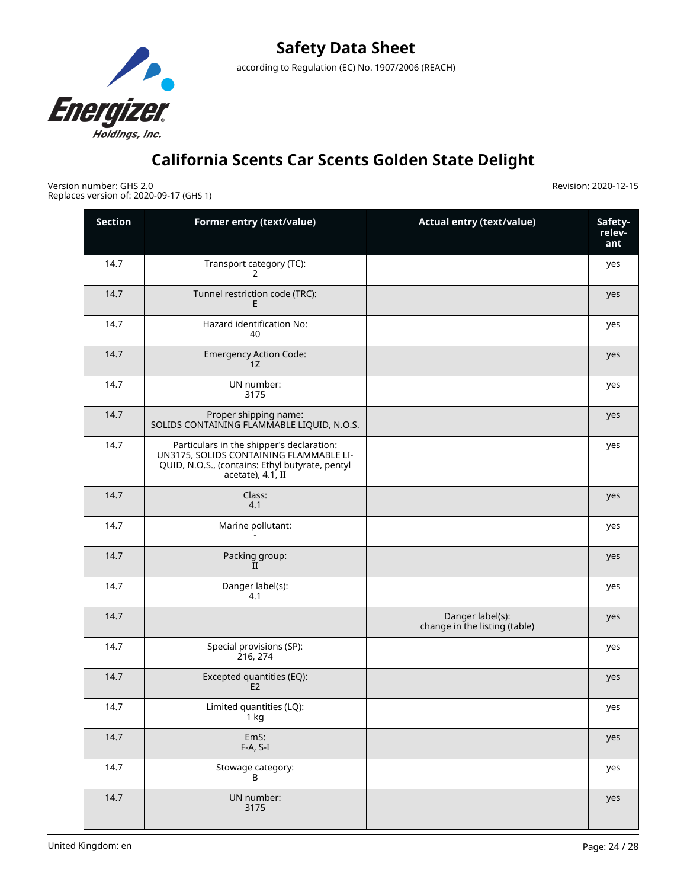

Version number: GHS 2.0 Replaces version of: 2020-09-17 (GHS 1)

| <b>Section</b> | Former entry (text/value)                                                                                                                                    | <b>Actual entry (text/value)</b>                  | Safety-<br>relev-<br>ant |
|----------------|--------------------------------------------------------------------------------------------------------------------------------------------------------------|---------------------------------------------------|--------------------------|
| 14.7           | Transport category (TC):<br>$\overline{2}$                                                                                                                   |                                                   | yes                      |
| 14.7           | Tunnel restriction code (TRC):<br>E                                                                                                                          |                                                   | yes                      |
| 14.7           | Hazard identification No:<br>40                                                                                                                              |                                                   | yes                      |
| 14.7           | <b>Emergency Action Code:</b><br>1Z                                                                                                                          |                                                   | yes                      |
| 14.7           | UN number:<br>3175                                                                                                                                           |                                                   | yes                      |
| 14.7           | Proper shipping name:<br>SOLIDS CONTAINING FLAMMABLE LIQUID, N.O.S.                                                                                          |                                                   | yes                      |
| 14.7           | Particulars in the shipper's declaration:<br>UN3175, SOLIDS CONTAINING FLAMMABLE LI-<br>QUID, N.O.S., (contains: Ethyl butyrate, pentyl<br>acetate), 4.1, II |                                                   | yes                      |
| 14.7           | Class:<br>4.1                                                                                                                                                |                                                   | yes                      |
| 14.7           | Marine pollutant:                                                                                                                                            |                                                   | yes                      |
| 14.7           | Packing group:<br>$\mathbf{I}$                                                                                                                               |                                                   | yes                      |
| 14.7           | Danger label(s):<br>4.1                                                                                                                                      |                                                   | yes                      |
| 14.7           |                                                                                                                                                              | Danger label(s):<br>change in the listing (table) | yes                      |
| 14.7           | Special provisions (SP):<br>216, 274                                                                                                                         |                                                   | yes                      |
| 14.7           | Excepted quantities (EQ):<br>E <sub>2</sub>                                                                                                                  |                                                   | yes                      |
| 14.7           | Limited quantities (LQ):<br>1 kg                                                                                                                             |                                                   | yes                      |
| 14.7           | EmS:<br>$F-A, S-I$                                                                                                                                           |                                                   | yes                      |
| 14.7           | Stowage category:<br>B                                                                                                                                       |                                                   | yes                      |
| 14.7           | UN number:<br>3175                                                                                                                                           |                                                   | yes                      |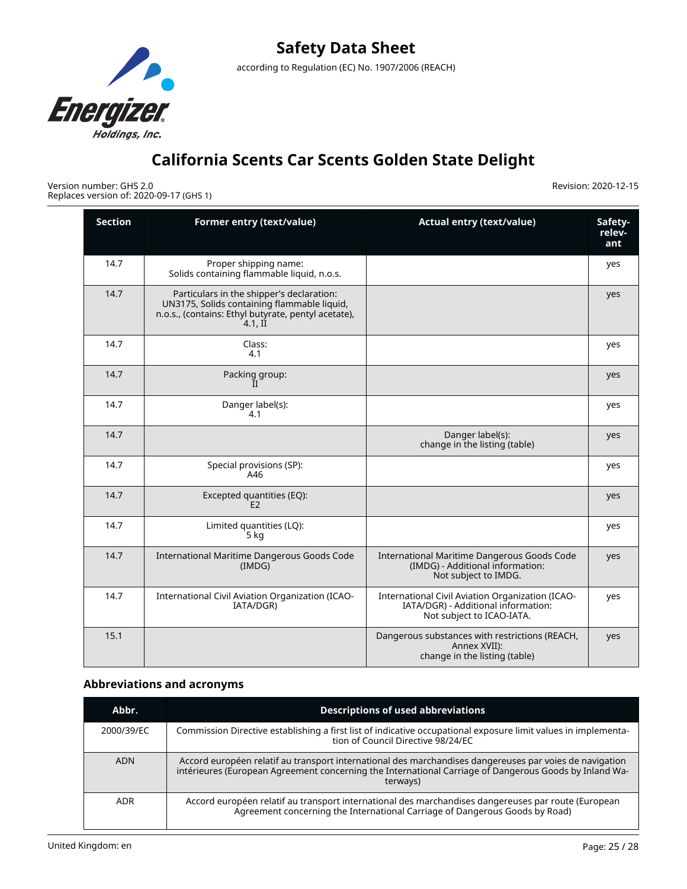

Version number: GHS 2.0 Replaces version of: 2020-09-17 (GHS 1) Revision: 2020-12-15

| <b>Section</b> | Former entry (text/value)                                                                                                                                    | <b>Actual entry (text/value)</b>                                                                                     | Safety-<br>relev-<br>ant |
|----------------|--------------------------------------------------------------------------------------------------------------------------------------------------------------|----------------------------------------------------------------------------------------------------------------------|--------------------------|
| 14.7           | Proper shipping name:<br>Solids containing flammable liquid, n.o.s.                                                                                          |                                                                                                                      | yes                      |
| 14.7           | Particulars in the shipper's declaration:<br>UN3175, Solids containing flammable liquid,<br>n.o.s., (contains: Ethyl butyrate, pentyl acetate),<br>$4.1.$ II |                                                                                                                      | yes                      |
| 14.7           | Class:<br>4.1                                                                                                                                                |                                                                                                                      | yes                      |
| 14.7           | Packing group:<br>II                                                                                                                                         |                                                                                                                      | yes                      |
| 14.7           | Danger label(s):<br>4.1                                                                                                                                      |                                                                                                                      | yes                      |
| 14.7           |                                                                                                                                                              | Danger label(s):<br>change in the listing (table)                                                                    | yes                      |
| 14.7           | Special provisions (SP):<br>A46                                                                                                                              |                                                                                                                      | yes                      |
| 14.7           | Excepted quantities (EQ):<br>E <sub>2</sub>                                                                                                                  |                                                                                                                      | yes                      |
| 14.7           | Limited quantities (LQ):<br>5 kg                                                                                                                             |                                                                                                                      | yes                      |
| 14.7           | International Maritime Dangerous Goods Code<br>(IMDG)                                                                                                        | International Maritime Dangerous Goods Code<br>(IMDG) - Additional information:<br>Not subject to IMDG.              | yes                      |
| 14.7           | International Civil Aviation Organization (ICAO-<br>IATA/DGR)                                                                                                | International Civil Aviation Organization (ICAO-<br>IATA/DGR) - Additional information:<br>Not subject to ICAO-IATA. | yes                      |
| 15.1           |                                                                                                                                                              | Dangerous substances with restrictions (REACH,<br>Annex XVII):<br>change in the listing (table)                      | yes                      |

## **Abbreviations and acronyms**

| Abbr.      | <b>Descriptions of used abbreviations</b>                                                                                                                                                                                     |
|------------|-------------------------------------------------------------------------------------------------------------------------------------------------------------------------------------------------------------------------------|
| 2000/39/EC | Commission Directive establishing a first list of indicative occupational exposure limit values in implementa-<br>tion of Council Directive 98/24/EC                                                                          |
| <b>ADN</b> | Accord européen relatif au transport international des marchandises dangereuses par voies de navigation<br>intérieures (European Agreement concerning the International Carriage of Dangerous Goods by Inland Wa-<br>terways) |
| <b>ADR</b> | Accord européen relatif au transport international des marchandises dangereuses par route (European<br>Agreement concerning the International Carriage of Dangerous Goods by Road)                                            |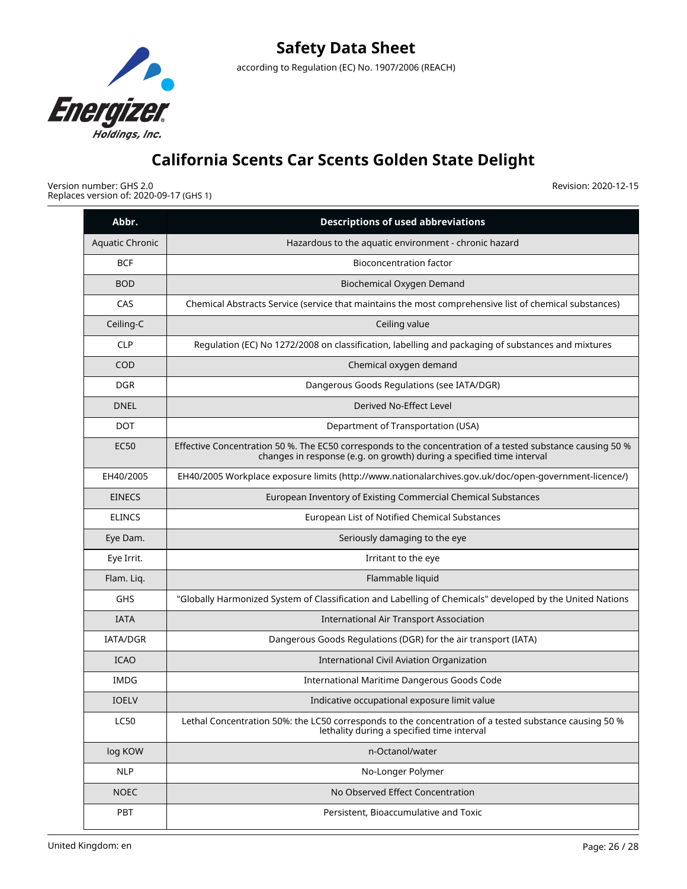

Version number: GHS 2.0 Replaces version of: 2020-09-17 (GHS 1)

| Abbr.                  | <b>Descriptions of used abbreviations</b>                                                                                                                                           |
|------------------------|-------------------------------------------------------------------------------------------------------------------------------------------------------------------------------------|
| <b>Aquatic Chronic</b> | Hazardous to the aquatic environment - chronic hazard                                                                                                                               |
| <b>BCF</b>             | <b>Bioconcentration factor</b>                                                                                                                                                      |
| <b>BOD</b>             | Biochemical Oxygen Demand                                                                                                                                                           |
| CAS                    | Chemical Abstracts Service (service that maintains the most comprehensive list of chemical substances)                                                                              |
| Ceiling-C              | Ceiling value                                                                                                                                                                       |
| <b>CLP</b>             | Regulation (EC) No 1272/2008 on classification, labelling and packaging of substances and mixtures                                                                                  |
| COD                    | Chemical oxygen demand                                                                                                                                                              |
| <b>DGR</b>             | Dangerous Goods Regulations (see IATA/DGR)                                                                                                                                          |
| <b>DNEL</b>            | Derived No-Effect Level                                                                                                                                                             |
| <b>DOT</b>             | Department of Transportation (USA)                                                                                                                                                  |
| <b>EC50</b>            | Effective Concentration 50 %. The EC50 corresponds to the concentration of a tested substance causing 50 %<br>changes in response (e.g. on growth) during a specified time interval |
| EH40/2005              | EH40/2005 Workplace exposure limits (http://www.nationalarchives.gov.uk/doc/open-government-licence/)                                                                               |
| <b>EINECS</b>          | European Inventory of Existing Commercial Chemical Substances                                                                                                                       |
| <b>ELINCS</b>          | European List of Notified Chemical Substances                                                                                                                                       |
| Eye Dam.               | Seriously damaging to the eye                                                                                                                                                       |
| Eye Irrit.             | Irritant to the eye                                                                                                                                                                 |
| Flam. Liq.             | Flammable liquid                                                                                                                                                                    |
| <b>GHS</b>             | "Globally Harmonized System of Classification and Labelling of Chemicals" developed by the United Nations                                                                           |
| <b>IATA</b>            | <b>International Air Transport Association</b>                                                                                                                                      |
| <b>IATA/DGR</b>        | Dangerous Goods Regulations (DGR) for the air transport (IATA)                                                                                                                      |
| <b>ICAO</b>            | International Civil Aviation Organization                                                                                                                                           |
| <b>IMDG</b>            | International Maritime Dangerous Goods Code                                                                                                                                         |
| <b>IOELV</b>           | Indicative occupational exposure limit value                                                                                                                                        |
| LC50                   | Lethal Concentration 50%: the LC50 corresponds to the concentration of a tested substance causing 50 %<br>lethality during a specified time interval                                |
| log KOW                | n-Octanol/water                                                                                                                                                                     |
| <b>NLP</b>             | No-Longer Polymer                                                                                                                                                                   |
| <b>NOEC</b>            | No Observed Effect Concentration                                                                                                                                                    |
| PBT                    | Persistent, Bioaccumulative and Toxic                                                                                                                                               |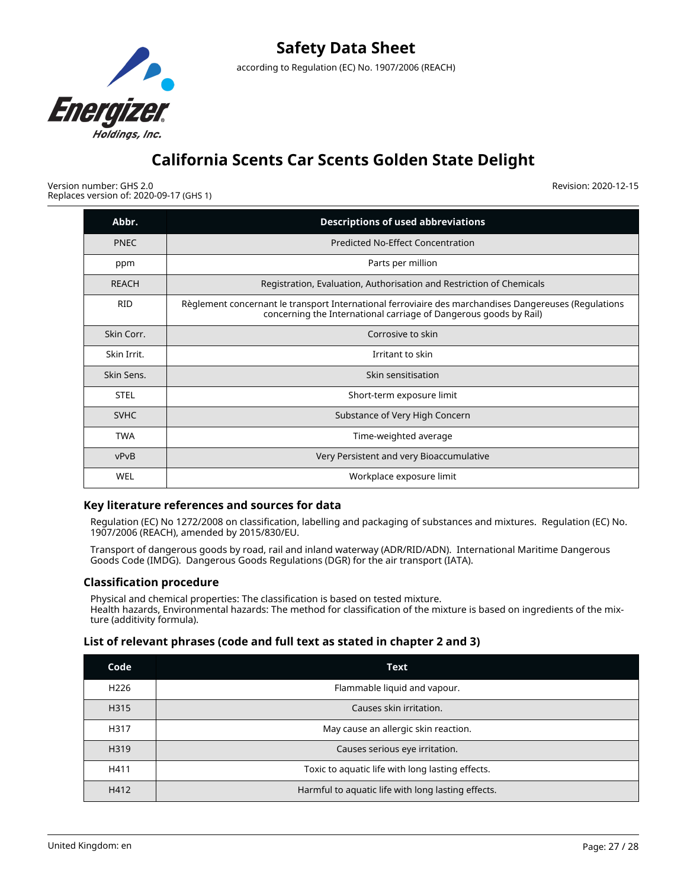

Version number: GHS 2.0 Replaces version of: 2020-09-17 (GHS 1) Revision: 2020-12-15

| Abbr.        | <b>Descriptions of used abbreviations</b>                                                                                                                                  |
|--------------|----------------------------------------------------------------------------------------------------------------------------------------------------------------------------|
| <b>PNEC</b>  | <b>Predicted No-Effect Concentration</b>                                                                                                                                   |
| ppm          | Parts per million                                                                                                                                                          |
| <b>REACH</b> | Registration, Evaluation, Authorisation and Restriction of Chemicals                                                                                                       |
| <b>RID</b>   | Règlement concernant le transport International ferroviaire des marchandises Dangereuses (Regulations<br>concerning the International carriage of Dangerous goods by Rail) |
| Skin Corr.   | Corrosive to skin                                                                                                                                                          |
| Skin Irrit.  | Irritant to skin                                                                                                                                                           |
| Skin Sens.   | Skin sensitisation                                                                                                                                                         |
| <b>STEL</b>  | Short-term exposure limit                                                                                                                                                  |
| <b>SVHC</b>  | Substance of Very High Concern                                                                                                                                             |
| <b>TWA</b>   | Time-weighted average                                                                                                                                                      |
| vPvB         | Very Persistent and very Bioaccumulative                                                                                                                                   |
| WEL          | Workplace exposure limit                                                                                                                                                   |

## **Key literature references and sources for data**

Regulation (EC) No 1272/2008 on classification, labelling and packaging of substances and mixtures. Regulation (EC) No. 1907/2006 (REACH), amended by 2015/830/EU.

Transport of dangerous goods by road, rail and inland waterway (ADR/RID/ADN). International Maritime Dangerous Goods Code (IMDG). Dangerous Goods Regulations (DGR) for the air transport (IATA).

## **Classification procedure**

Physical and chemical properties: The classification is based on tested mixture. Health hazards, Environmental hazards: The method for classification of the mixture is based on ingredients of the mixture (additivity formula).

## **List of relevant phrases (code and full text as stated in chapter 2 and 3)**

| Code             | <b>Text</b>                                        |
|------------------|----------------------------------------------------|
| H <sub>226</sub> | Flammable liquid and vapour.                       |
| H315             | Causes skin irritation.                            |
| H317             | May cause an allergic skin reaction.               |
| H319             | Causes serious eye irritation.                     |
| H411             | Toxic to aquatic life with long lasting effects.   |
| H412             | Harmful to aquatic life with long lasting effects. |